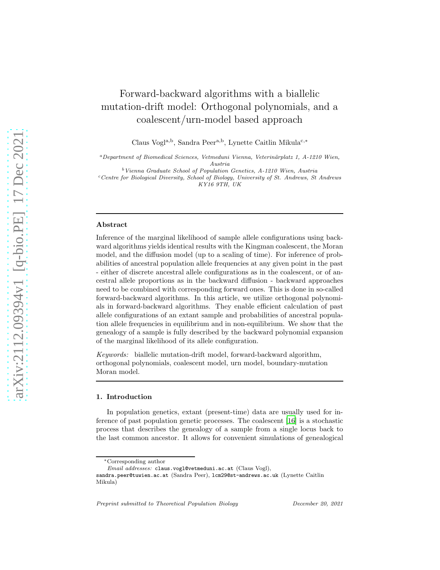# Forward-backward algorithms with a biallelic mutation-drift model: Orthogonal polynomials, and a coalescent/urn-model based approach

Claus Vogl<sup>a,b</sup>, Sandra Peer<sup>a,b</sup>, Lynette Caitlin Mikula<sup>c,\*</sup>

<sup>a</sup>Department of Biomedical Sciences, Vetmeduni Vienna, Veterinärplatz 1, A-1210 Wien, Austria

 $b$  Vienna Graduate School of Population Genetics, A-1210 Wien, Austria  $c$ Centre for Biological Diversity, School of Biology, University of St. Andrews, St Andrews KY16 9TH, UK

### Abstract

Inference of the marginal likelihood of sample allele configurations using backward algorithms yields identical results with the Kingman coalescent, the Moran model, and the diffusion model (up to a scaling of time). For inference of probabilities of ancestral population allele frequencies at any given point in the past - either of discrete ancestral allele configurations as in the coalescent, or of ancestral allele proportions as in the backward diffusion - backward approaches need to be combined with corresponding forward ones. This is done in so-called forward-backward algorithms. In this article, we utilize orthogonal polynomials in forward-backward algorithms. They enable efficient calculation of past allele configurations of an extant sample and probabilities of ancestral population allele frequencies in equilibrium and in non-equilibrium. We show that the genealogy of a sample is fully described by the backward polynomial expansion of the marginal likelihood of its allele configuration.

Keywords: biallelic mutation-drift model, forward-backward algorithm, orthogonal polynomials, coalescent model, urn model, boundary-mutation Moran model.

## 1. Introduction

In population genetics, extant (present-time) data are usually used for inference of past population genetic processes. The coalescent [\[16\]](#page-36-0) is a stochastic process that describes the genealogy of a sample from a single locus back to the last common ancestor. It allows for convenient simulations of genealogical

<sup>∗</sup>Corresponding author

Email addresses: claus.vogl@vetmeduni.ac.at (Claus Vogl),

sandra.peer@tuwien.ac.at (Sandra Peer), lcm29@st-andrews.ac.uk (Lynette Caitlin Mikula)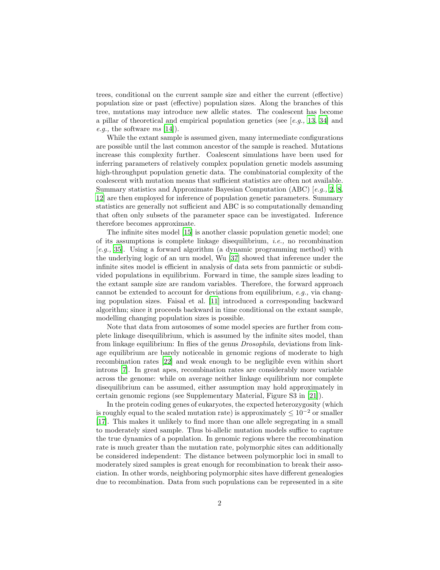trees, conditional on the current sample size and either the current (effective) population size or past (effective) population sizes. Along the branches of this tree, mutations may introduce new allelic states. The coalescent has become a pillar of theoretical and empirical population genetics (see  $[e.g., 13, 34]$  $[e.g., 13, 34]$  $[e.g., 13, 34]$  $[e.g., 13, 34]$  and e.g., the software  $ms$  [\[14\]](#page-36-2)).

While the extant sample is assumed given, many intermediate configurations are possible until the last common ancestor of the sample is reached. Mutations increase this complexity further. Coalescent simulations have been used for inferring parameters of relatively complex population genetic models assuming high-throughput population genetic data. The combinatorial complexity of the coalescent with mutation means that sufficient statistics are often not available. Summary statistics and Approximate Bayesian Computation (ABC) [e.g., [2,](#page-35-0) [8,](#page-35-1) [12\]](#page-36-3) are then employed for inference of population genetic parameters. Summary statistics are generally not sufficient and ABC is so computationally demanding that often only subsets of the parameter space can be investigated. Inference therefore becomes approximate.

The infinite sites model [\[15\]](#page-36-4) is another classic population genetic model; one of its assumptions is complete linkage disequilibrium, *i.e.*, no recombination [e.g., [35\]](#page-37-1). Using a forward algorithm (a dynamic programming method) with the underlying logic of an urn model, Wu [\[37](#page-37-2)] showed that inference under the infinite sites model is efficient in analysis of data sets from panmictic or subdivided populations in equilibrium. Forward in time, the sample sizes leading to the extant sample size are random variables. Therefore, the forward approach cannot be extended to account for deviations from equilibrium, e.g., via changing population sizes. Faisal et al. [\[11](#page-36-5)] introduced a corresponding backward algorithm; since it proceeds backward in time conditional on the extant sample, modelling changing population sizes is possible.

Note that data from autosomes of some model species are further from complete linkage disequilibrium, which is assumed by the infinite sites model, than from linkage equilibrium: In flies of the genus Drosophila, deviations from linkage equilibrium are barely noticeable in genomic regions of moderate to high recombination rates [\[22\]](#page-36-6) and weak enough to be negligible even within short introns [\[7\]](#page-35-2). In great apes, recombination rates are considerably more variable across the genome: while on average neither linkage equilibrium nor complete disequilibrium can be assumed, either assumption may hold approximately in certain genomic regions (see Supplementary Material, Figure S3 in [\[21\]](#page-36-7)).

In the protein coding genes of eukaryotes, the expected heterozygosity (which is roughly equal to the scaled mutation rate) is approximately  $\leq 10^{-2}$  or smaller [\[17\]](#page-36-8). This makes it unlikely to find more than one allele segregating in a small to moderately sized sample. Thus bi-allelic mutation models suffice to capture the true dynamics of a population. In genomic regions where the recombination rate is much greater than the mutation rate, polymorphic sites can additionally be considered independent: The distance between polymorphic loci in small to moderately sized samples is great enough for recombination to break their association. In other words, neighboring polymorphic sites have different genealogies due to recombination. Data from such populations can be represented in a site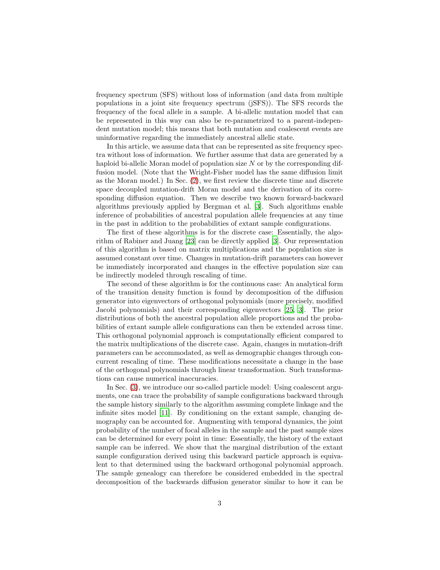frequency spectrum (SFS) without loss of information (and data from multiple populations in a joint site frequency spectrum (jSFS)). The SFS records the frequency of the focal allele in a sample. A bi-allelic mutation model that can be represented in this way can also be re-parametrized to a parent-independent mutation model; this means that both mutation and coalescent events are uninformative regarding the immediately ancestral allelic state.

In this article, we assume data that can be represented as site frequency spectra without loss of information. We further assume that data are generated by a haploid bi-allelic Moran model of population size N or by the corresponding diffusion model. (Note that the Wright-Fisher model has the same diffusion limit as the Moran model.) In Sec. [\(2\)](#page-3-0), we first review the discrete time and discrete space decoupled mutation-drift Moran model and the derivation of its corresponding diffusion equation. Then we describe two known forward-backward algorithms previously applied by Bergman et al. [\[3\]](#page-35-3). Such algorithms enable inference of probabilities of ancestral population allele frequencies at any time in the past in addition to the probabilities of extant sample configurations.

The first of these algorithms is for the discrete case: Essentially, the algorithm of Rabiner and Juang [\[23\]](#page-36-9) can be directly applied [\[3\]](#page-35-3). Our representation of this algorithm is based on matrix multiplications and the population size is assumed constant over time. Changes in mutation-drift parameters can however be immediately incorporated and changes in the effective population size can be indirectly modeled through rescaling of time.

The second of these algorithm is for the continuous case: An analytical form of the transition density function is found by decomposition of the diffusion generator into eigenvectors of orthogonal polynomials (more precisely, modified Jacobi polynomials) and their corresponding eigenvectors [\[25,](#page-37-3) [3\]](#page-35-3). The prior distributions of both the ancestral population allele proportions and the probabilities of extant sample allele configurations can then be extended across time. This orthogonal polynomial approach is computationally efficient compared to the matrix multiplications of the discrete case. Again, changes in mutation-drift parameters can be accommodated, as well as demographic changes through concurrent rescaling of time. These modifications necessitate a change in the base of the orthogonal polynomials through linear transformation. Such transformations can cause numerical inaccuracies.

In Sec. [\(3\)](#page-13-0), we introduce our so-called particle model: Using coalescent arguments, one can trace the probability of sample configurations backward through the sample history similarly to the algorithm assuming complete linkage and the infinite sites model [\[11](#page-36-5)]. By conditioning on the extant sample, changing demography can be accounted for. Augmenting with temporal dynamics, the joint probability of the number of focal alleles in the sample and the past sample sizes can be determined for every point in time: Essentially, the history of the extant sample can be inferred. We show that the marginal distribution of the extant sample configuration derived using this backward particle approach is equivalent to that determined using the backward orthogonal polynomial approach. The sample genealogy can therefore be considered embedded in the spectral decomposition of the backwards diffusion generator similar to how it can be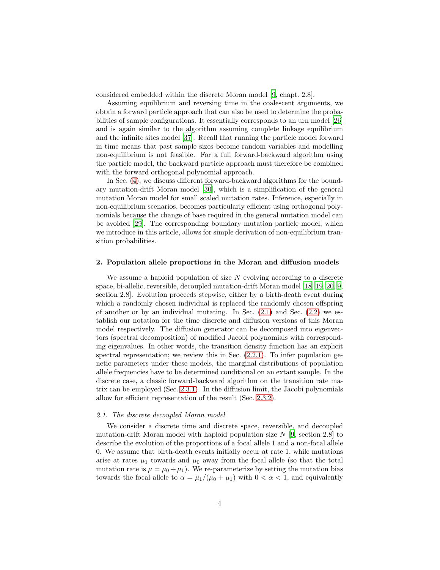considered embedded within the discrete Moran model [\[9,](#page-35-4) chapt. 2.8].

Assuming equilibrium and reversing time in the coalescent arguments, we obtain a forward particle approach that can also be used to determine the probabilities of sample configurations. It essentially corresponds to an urn model [\[26\]](#page-37-4) and is again similar to the algorithm assuming complete linkage equilibrium and the infinite sites model [\[37](#page-37-2)]. Recall that running the particle model forward in time means that past sample sizes become random variables and modelling non-equilibrium is not feasible. For a full forward-backward algorithm using the particle model, the backward particle approach must therefore be combined with the forward orthogonal polynomial approach.

In Sec. [\(4\)](#page-25-0), we discuss different forward-backward algorithms for the boundary mutation-drift Moran model [\[30](#page-37-5)], which is a simplification of the general mutation Moran model for small scaled mutation rates. Inference, especially in non-equilibrium scenarios, becomes particularly efficient using orthogonal polynomials because the change of base required in the general mutation model can be avoided [\[29](#page-37-6)]. The corresponding boundary mutation particle model, which we introduce in this article, allows for simple derivation of non-equilibrium transition probabilities.

#### <span id="page-3-0"></span>2. Population allele proportions in the Moran and diffusion models

We assume a haploid population of size  $N$  evolving according to a discrete space, bi-allelic, reversible, decoupled mutation-drift Moran model [\[18,](#page-36-10) [19](#page-36-11), [20,](#page-36-12) [9,](#page-35-4) section 2.8]. Evolution proceeds stepwise, either by a birth-death event during which a randomly chosen individual is replaced the randomly chosen offspring of another or by an individual mutating. In Sec.  $(2.1)$  and Sec.  $(2.2)$  we establish our notation for the time discrete and diffusion versions of this Moran model respectively. The diffusion generator can be decomposed into eigenvectors (spectral decomposition) of modified Jacobi polynomials with corresponding eigenvalues. In other words, the transition density function has an explicit spectral representation; we review this in Sec.  $(2.2.1)$ . To infer population genetic parameters under these models, the marginal distributions of population allele frequencies have to be determined conditional on an extant sample. In the discrete case, a classic forward-backward algorithm on the transition rate matrix can be employed (Sec. [2.3.1\)](#page-9-0). In the diffusion limit, the Jacobi polynomials allow for efficient representation of the result (Sec. [2.3.2\)](#page-10-0).

## <span id="page-3-1"></span>2.1. The discrete decoupled Moran model

We consider a discrete time and discrete space, reversible, and decoupled mutation-drift Moran model with haploid population size  $N$  [\[9,](#page-35-4) section 2.8] to describe the evolution of the proportions of a focal allele 1 and a non-focal allele 0. We assume that birth-death events initially occur at rate 1, while mutations arise at rates  $\mu_1$  towards and  $\mu_0$  away from the focal allele (so that the total mutation rate is  $\mu = \mu_0 + \mu_1$ . We re-parameterize by setting the mutation bias towards the focal allele to  $\alpha = \mu_1/(\mu_0 + \mu_1)$  with  $0 < \alpha < 1$ , and equivalently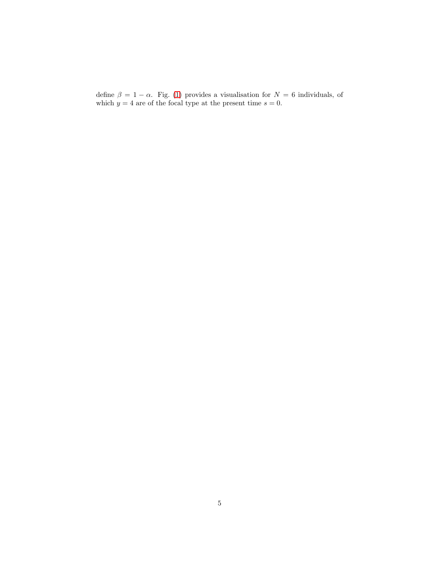define  $\beta = 1 - \alpha$ . Fig. [\(1\)](#page-5-0) provides a visualisation for  $N = 6$  individuals, of which  $y = 4$  are of the focal type at the present time  $s = 0$ .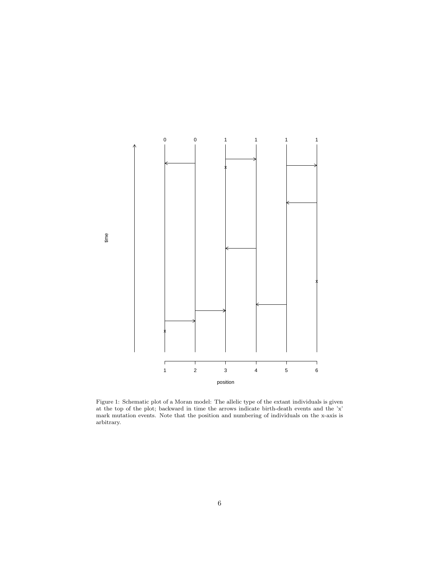<span id="page-5-0"></span>

time

Figure 1: Schematic plot of a Moran model: The allelic type of the extant individuals is given at the top of the plot; backward in time the arrows indicate birth-death events and the 'x' mark mutation events. Note that the position and numbering of individuals on the x-axis is arbitrary.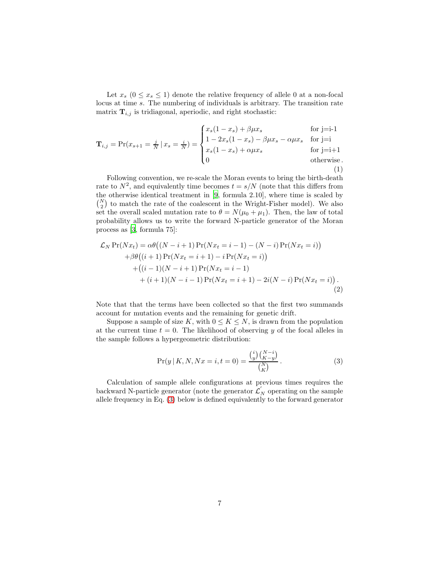Let  $x_s$   $(0 \le x_s \le 1)$  denote the relative frequency of allele 0 at a non-focal locus at time s. The numbering of individuals is arbitrary. The transition rate matrix  $\mathbf{T}_{i,j}$  is tridiagonal, aperiodic, and right stochastic:

<span id="page-6-2"></span>
$$
\mathbf{T}_{i,j} = \Pr(x_{s+1} = \frac{j}{N} | x_s = \frac{i}{N}) = \begin{cases} x_s(1 - x_s) + \beta \mu x_s & \text{for } j = i-1 \\ 1 - 2x_s(1 - x_s) - \beta \mu x_s - \alpha \mu x_s & \text{for } j = i \\ x_s(1 - x_s) + \alpha \mu x_s & \text{for } j = i+1 \\ 0 & \text{otherwise.} \end{cases}
$$
(1)

Following convention, we re-scale the Moran events to bring the birth-death rate to  $N^2$ , and equivalently time becomes  $t = s/N$  (note that this differs from the otherwise identical treatment in [\[9](#page-35-4), formula 2.10], where time is scaled by  $\binom{N}{2}$  to match the rate of the coalescent in the Wright-Fisher model). We also set the overall scaled mutation rate to  $\theta = N(\mu_0 + \mu_1)$ . Then, the law of total probability allows us to write the forward N-particle generator of the Moran process as [\[3,](#page-35-3) formula 75]:

<span id="page-6-1"></span>
$$
\mathcal{L}_N \Pr(Nx_t) = \alpha \theta \big( (N - i + 1) \Pr(Nx_t = i - 1) - (N - i) \Pr(Nx_t = i) \big) \n+ \beta \theta \big( (i + 1) \Pr(Nx_t = i + 1) - i \Pr(Nx_t = i) \big) \n+ \big( (i - 1)(N - i + 1) \Pr(Nx_t = i - 1) \n+ (i + 1)(N - i - 1) \Pr(Nx_t = i + 1) - 2i(N - i) \Pr(Nx_t = i) \big).
$$
\n(2)

Note that that the terms have been collected so that the first two summands account for mutation events and the remaining for genetic drift.

Suppose a sample of size K, with  $0 \leq K \leq N$ , is drawn from the population at the current time  $t = 0$ . The likelihood of observing y of the focal alleles in the sample follows a hypergeometric distribution:

<span id="page-6-0"></span>
$$
\Pr(y \mid K, N, Nx = i, t = 0) = \frac{\binom{i}{y} \binom{N-i}{K-y}}{\binom{N}{K}}.
$$
\n(3)

Calculation of sample allele configurations at previous times requires the backward N-particle generator (note the generator  $\mathcal{L}'_N$  operating on the sample allele frequency in Eq. [\(3\)](#page-6-0) below is defined equivalently to the forward generator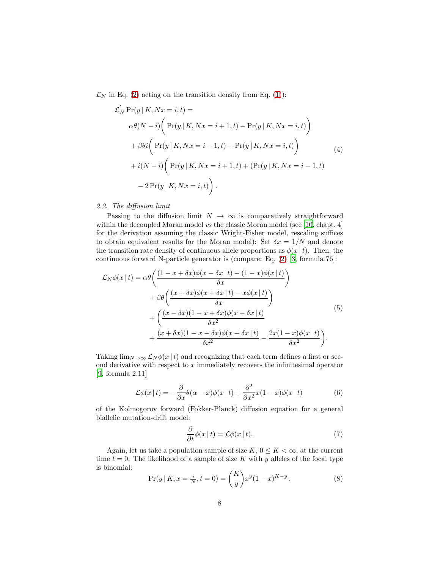$\mathcal{L}_N$  in Eq. [\(2\)](#page-6-1) acting on the transition density from Eq. [\(1\)](#page-6-2)):

<span id="page-7-1"></span>
$$
\mathcal{L}'_N \Pr(y | K, Nx = i, t) =
$$
\n
$$
\alpha\theta(N - i) \left( \Pr(y | K, Nx = i + 1, t) - \Pr(y | K, Nx = i, t) \right)
$$
\n
$$
+ \beta\theta i \left( \Pr(y | K, Nx = i - 1, t) - \Pr(y | K, Nx = i, t) \right)
$$
\n
$$
+ i(N - i) \left( \Pr(y | K, Nx = i + 1, t) + (\Pr(y | K, Nx = i - 1, t) \right)
$$
\n
$$
- 2 \Pr(y | K, Nx = i, t) \right).
$$
\n(4)

## <span id="page-7-0"></span>2.2. The diffusion limit

Passing to the diffusion limit  $N \to \infty$  is comparatively straightforward within the decoupled Moran model  $vs$  the classic Moran model (see [\[10,](#page-36-13) chapt. 4] for the derivation assuming the classic Wright-Fisher model, rescaling suffices to obtain equivalent results for the Moran model): Set  $\delta x = 1/N$  and denote the transition rate density of continuous allele proportions as  $\phi(x \mid t)$ . Then, the continuous forward N-particle generator is (compare: Eq. [\(2\)](#page-6-1) [\[3,](#page-35-3) formula 76]:

$$
\mathcal{L}_N\phi(x|t) = \alpha \theta \left( \frac{(1-x+\delta x)\phi(x-\delta x|t) - (1-x)\phi(x|t)}{\delta x} \right) \n+ \beta \theta \left( \frac{(x+\delta x)\phi(x+\delta x|t) - x\phi(x|t)}{\delta x} \right) \n+ \left( \frac{(x-\delta x)(1-x+\delta x)\phi(x-\delta x|t)}{\delta x^2} \right) \n+ \frac{(x+\delta x)(1-x-\delta x)\phi(x+\delta x|t)}{\delta x^2} - \frac{2x(1-x)\phi(x|t)}{\delta x^2} \right).
$$
\n(5)

Taking  $\lim_{N\to\infty}$   $\mathcal{L}_N\phi(x\mid t)$  and recognizing that each term defines a first or second derivative with respect to  $x$  immediately recovers the infinitesimal operator [\[9,](#page-35-4) formula 2.11]

$$
\mathcal{L}\phi(x \mid t) = -\frac{\partial}{\partial x}\theta(\alpha - x)\phi(x \mid t) + \frac{\partial^2}{\partial x^2}x(1 - x)\phi(x \mid t)
$$
(6)

of the Kolmogorov forward (Fokker-Planck) diffusion equation for a general biallelic mutation-drift model:

<span id="page-7-2"></span>
$$
\frac{\partial}{\partial t}\phi(x \mid t) = \mathcal{L}\phi(x \mid t). \tag{7}
$$

Again, let us take a population sample of size  $K, 0 \leq K < \infty$ , at the current time  $t = 0$ . The likelihood of a sample of size K with y alleles of the focal type is binomial:

<span id="page-7-3"></span>
$$
\Pr(y \mid K, x = \frac{i}{N}, t = 0) = {K \choose y} x^y (1 - x)^{K - y}.
$$
 (8)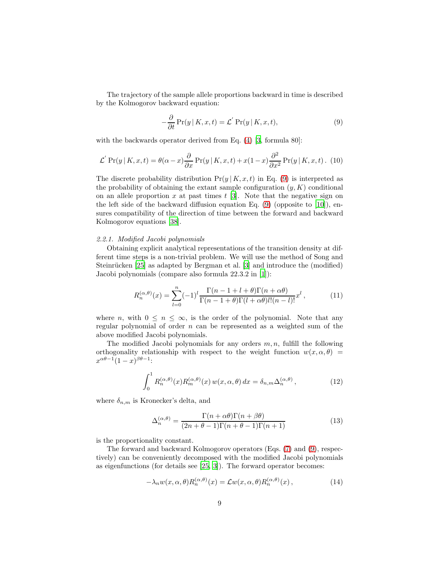The trajectory of the sample allele proportions backward in time is described by the Kolmogorov backward equation:

<span id="page-8-1"></span>
$$
-\frac{\partial}{\partial t}\Pr(y|K, x, t) = \mathcal{L}'\Pr(y|K, x, t),\tag{9}
$$

with the backwards operator derived from Eq.  $(4)$  [\[3,](#page-35-3) formula 80]:

$$
\mathcal{L}' \Pr(y \mid K, x, t) = \theta(\alpha - x) \frac{\partial}{\partial x} \Pr(y \mid K, x, t) + x(1 - x) \frac{\partial^2}{\partial x^2} \Pr(y \mid K, x, t). \tag{10}
$$

The discrete probability distribution  $Pr(y | K, x, t)$  in Eq. [\(9\)](#page-8-1) is interpreted as the probability of obtaining the extant sample configuration  $(y, K)$  conditional on an allele proportion x at past times  $t$  [\[3\]](#page-35-3). Note that the negative sign on the left side of the backward diffusion equation Eq.  $(9)$  (opposite to [\[10\]](#page-36-13)), ensures compatibility of the direction of time between the forward and backward Kolmogorov equations [\[38](#page-37-7)].

#### <span id="page-8-0"></span>2.2.1. Modified Jacobi polynomials

Obtaining explicit analytical representations of the transition density at different time steps is a non-trivial problem. We will use the method of Song and Steinrücken [\[25\]](#page-37-3) as adapted by Bergman et al. [\[3\]](#page-35-3) and introduce the (modified) Jacobi polynomials (compare also formula 22.3.2 in [\[1\]](#page-35-5)):

$$
R_n^{(\alpha,\theta)}(x) = \sum_{l=0}^n (-1)^l \frac{\Gamma(n-1+l+\theta)\Gamma(n+\alpha\theta)}{\Gamma(n-1+\theta)\Gamma(l+\alpha\theta)l!(n-l)!} x^l,
$$
\n(11)

where n, with  $0 \leq n \leq \infty$ , is the order of the polynomial. Note that any regular polynomial of order  $n$  can be represented as a weighted sum of the above modified Jacobi polynomials.

The modified Jacobi polynomials for any orders  $m, n$ , fulfill the following orthogonality relationship with respect to the weight function  $w(x, \alpha, \theta)$  $x^{\alpha\theta-1}(1-x)^{\beta\theta-1}$ :

<span id="page-8-2"></span>
$$
\int_0^1 R_n^{(\alpha,\theta)}(x) R_m^{(\alpha,\theta)}(x) w(x,\alpha,\theta) dx = \delta_{n,m} \Delta_n^{(\alpha,\theta)},
$$
\n(12)

where  $\delta_{n,m}$  is Kronecker's delta, and

$$
\Delta_n^{(\alpha,\theta)} = \frac{\Gamma(n+\alpha\theta)\Gamma(n+\beta\theta)}{(2n+\theta-1)\Gamma(n+\theta-1)\Gamma(n+1)}
$$
(13)

is the proportionality constant.

The forward and backward Kolmogorov operators (Eqs. [\(7\)](#page-7-2) and [\(9\)](#page-8-1), respectively) can be conveniently decomposed with the modified Jacobi polynomials as eigenfunctions (for details see [\[25,](#page-37-3) [3\]](#page-35-3)). The forward operator becomes:

$$
-\lambda_n w(x, \alpha, \theta) R_n^{(\alpha, \theta)}(x) = \mathcal{L}w(x, \alpha, \theta) R_n^{(\alpha, \theta)}(x), \qquad (14)
$$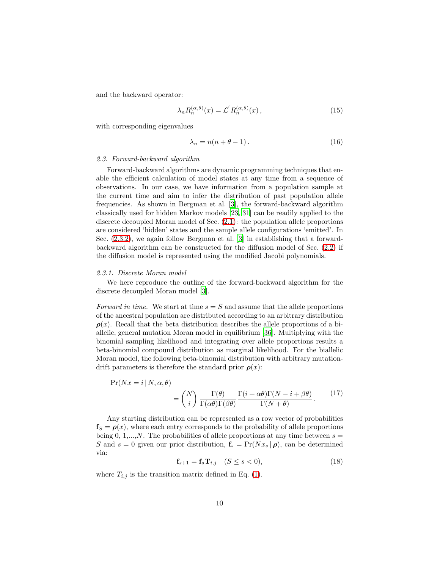and the backward operator:

$$
\lambda_n R_n^{(\alpha,\theta)}(x) = \mathcal{L}' R_n^{(\alpha,\theta)}(x) \,, \tag{15}
$$

with corresponding eigenvalues

<span id="page-9-1"></span>
$$
\lambda_n = n(n + \theta - 1). \tag{16}
$$

#### 2.3. Forward-backward algorithm

Forward-backward algorithms are dynamic programming techniques that enable the efficient calculation of model states at any time from a sequence of observations. In our case, we have information from a population sample at the current time and aim to infer the distribution of past population allele frequencies. As shown in Bergman et al. [\[3](#page-35-3)], the forward-backward algorithm classically used for hidden Markov models [\[23,](#page-36-9) [31\]](#page-37-8) can be readily applied to the discrete decoupled Moran model of Sec. [\(2.1\)](#page-3-1): the population allele proportions are considered 'hidden' states and the sample allele configurations 'emitted'. In Sec. [\(2.3.2\)](#page-10-0), we again follow Bergman et al. [\[3](#page-35-3)] in establishing that a forwardbackward algorithm can be constructed for the diffusion model of Sec. [\(2.2\)](#page-7-0) if the diffusion model is represented using the modified Jacobi polynomials.

#### <span id="page-9-0"></span>2.3.1. Discrete Moran model

We here reproduce the outline of the forward-backward algorithm for the discrete decoupled Moran model [\[3](#page-35-3)].

Forward in time. We start at time  $s = S$  and assume that the allele proportions of the ancestral population are distributed according to an arbitrary distribution  $\rho(x)$ . Recall that the beta distribution describes the allele proportions of a biallelic, general mutation Moran model in equilibrium [\[36\]](#page-37-9). Multiplying with the binomial sampling likelihood and integrating over allele proportions results a beta-binomial compound distribution as marginal likelihood. For the biallelic Moran model, the following beta-binomial distribution with arbitrary mutationdrift parameters is therefore the standard prior  $\rho(x)$ :

$$
\Pr(Nx = i | N, \alpha, \theta) = {N \choose i} \frac{\Gamma(\theta)}{\Gamma(\alpha \theta)\Gamma(\beta \theta)} \frac{\Gamma(i + \alpha \theta)\Gamma(N - i + \beta \theta)}{\Gamma(N + \theta)}.
$$
(17)

Any starting distribution can be represented as a row vector of probabilities  $f_S = \rho(x)$ , where each entry corresponds to the probability of allele proportions being 0, 1,..., N. The probabilities of allele proportions at any time between  $s =$ S and  $s = 0$  given our prior distribution,  $f_s = Pr(Nx_s | \rho)$ , can be determined via:

$$
\mathbf{f}_{s+1} = \mathbf{f}_s \mathbf{T}_{i,j} \quad (S \le s < 0), \tag{18}
$$

where  $T_{i,j}$  is the transition matrix defined in Eq. [\(1\)](#page-6-2).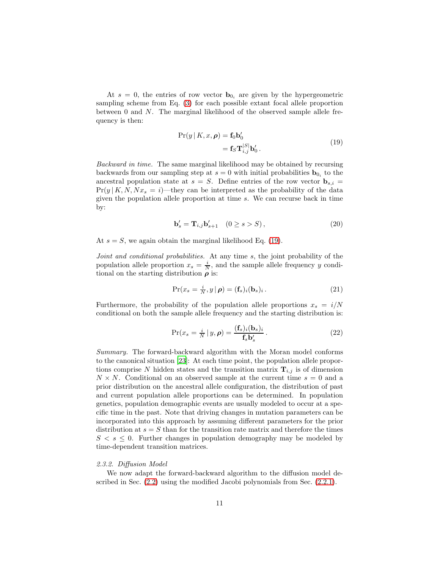At  $s = 0$ , the entries of row vector  $\mathbf{b}_{0i}$  are given by the hypergeometric sampling scheme from Eq. [\(3\)](#page-6-0) for each possible extant focal allele proportion between 0 and N. The marginal likelihood of the observed sample allele frequency is then:

<span id="page-10-1"></span>
$$
\Pr(y | K, x, \rho) = \mathbf{f}_0 \mathbf{b}'_0
$$
  
=  $\mathbf{f}_S \mathbf{T}_{i,j}^{[S]} \mathbf{b}'_0$ . (19)

Backward in time. The same marginal likelihood may be obtained by recursing backwards from our sampling step at  $s = 0$  with initial probabilities  $\mathbf{b}_{0_i}$  to the ancestral population state at  $s = S$ . Define entries of the row vector  $\mathbf{b}_{s,i} =$  $Pr(y | K, N, Nx_s = i)$ —they can be interpreted as the probability of the data given the population allele proportion at time s. We can recurse back in time by:

$$
\mathbf{b}'_s = \mathbf{T}_{i,j} \mathbf{b}'_{s+1} \quad (0 \ge s > S), \tag{20}
$$

At  $s = S$ , we again obtain the marginal likelihood Eq. [\(19\)](#page-10-1).

Joint and conditional probabilities. At any time s, the joint probability of the population allele proportion  $x_s = \frac{i}{N}$ , and the sample allele frequency y conditional on the starting distribution  $\rho$  is:

$$
\Pr(x_s = \frac{i}{N}, y \mid \boldsymbol{\rho}) = (\mathbf{f}_s)_i (\mathbf{b}_s)_i. \tag{21}
$$

Furthermore, the probability of the population allele proportions  $x_s = i/N$ conditional on both the sample allele frequency and the starting distribution is:

$$
\Pr(x_s = \frac{i}{N} \mid y, \rho) = \frac{(\mathbf{f}_s)_i (\mathbf{b}_s)_i}{\mathbf{f}_s \mathbf{b}'_s}.
$$
 (22)

Summary. The forward-backward algorithm with the Moran model conforms to the canonical situation [\[23\]](#page-36-9): At each time point, the population allele proportions comprise N hidden states and the transition matrix  $\mathbf{T}_{i,j}$  is of dimension  $N \times N$ . Conditional on an observed sample at the current time  $s = 0$  and a prior distribution on the ancestral allele configuration, the distribution of past and current population allele proportions can be determined. In population genetics, population demographic events are usually modeled to occur at a specific time in the past. Note that driving changes in mutation parameters can be incorporated into this approach by assuming different parameters for the prior distribution at  $s = S$  than for the transition rate matrix and therefore the times  $S < s \leq 0$ . Further changes in population demography may be modeled by time-dependent transition matrices.

## <span id="page-10-0"></span>2.3.2. Diffusion Model

We now adapt the forward-backward algorithm to the diffusion model described in Sec. [\(2.2\)](#page-7-0) using the modified Jacobi polynomials from Sec. [\(2.2.1\)](#page-8-0).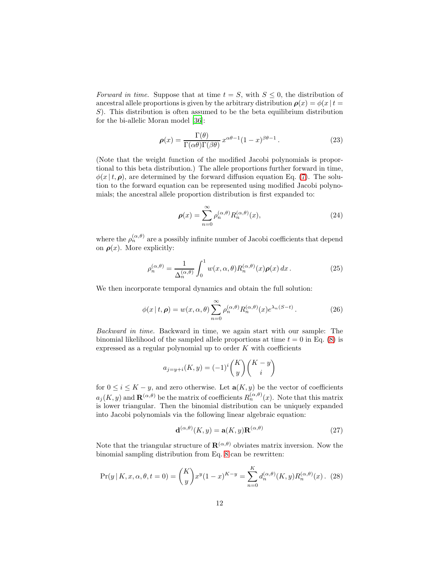Forward in time. Suppose that at time  $t = S$ , with  $S \leq 0$ , the distribution of ancestral allele proportions is given by the arbitrary distribution  $\rho(x) = \phi(x) t =$ S). This distribution is often assumed to be the beta equilibrium distribution for the bi-allelic Moran model [\[36](#page-37-9)]:

<span id="page-11-1"></span>
$$
\rho(x) = \frac{\Gamma(\theta)}{\Gamma(\alpha \theta)\Gamma(\beta \theta)} x^{\alpha \theta - 1} (1 - x)^{\beta \theta - 1}.
$$
 (23)

(Note that the weight function of the modified Jacobi polynomials is proportional to this beta distribution.) The allele proportions further forward in time,  $\phi(x | t, \rho)$ , are determined by the forward diffusion equation Eq. [\(7\)](#page-7-2). The solution to the forward equation can be represented using modified Jacobi polynomials; the ancestral allele proportion distribution is first expanded to:

<span id="page-11-0"></span>
$$
\rho(x) = \sum_{n=0}^{\infty} \rho_n^{(\alpha,\theta)} R_n^{(\alpha,\theta)}(x),\tag{24}
$$

where the  $\rho_n^{(\alpha,\theta)}$  are a possibly infinite number of Jacobi coefficients that depend on  $\rho(x)$ . More explicitly:

$$
\rho_n^{(\alpha,\theta)} = \frac{1}{\Delta_n^{(\alpha,\theta)}} \int_0^1 w(x,\alpha,\theta) R_n^{(\alpha,\theta)}(x) \rho(x) dx.
$$
 (25)

We then incorporate temporal dynamics and obtain the full solution:

$$
\phi(x \mid t, \rho) = w(x, \alpha, \theta) \sum_{n=0}^{\infty} \rho_n^{(\alpha, \theta)} R_n^{(\alpha, \theta)}(x) e^{\lambda_n (S - t)}.
$$
 (26)

Backward in time. Backward in time, we again start with our sample: The binomial likelihood of the sampled allele proportions at time  $t = 0$  in Eq. [\(8\)](#page-7-3) is expressed as a regular polynomial up to order  $K$  with coefficients

$$
a_{j=y+i}(K,y) = (-1)^i {K \choose y} {K-y \choose i}
$$

for  $0 \leq i \leq K - y$ , and zero otherwise. Let  $\mathbf{a}(K, y)$  be the vector of coefficients  $a_j(K, y)$  and  $\mathbf{R}^{(\alpha,\theta)}$  be the matrix of coefficients  $R_n^{(\alpha,\theta)}(x)$ . Note that this matrix is lower triangular. Then the binomial distribution can be uniquely expanded into Jacobi polynomials via the following linear algebraic equation:

$$
\mathbf{d}^{(\alpha,\theta)}(K,y) = \mathbf{a}(K,y)\mathbf{R}^{(\alpha,\theta)}\tag{27}
$$

Note that the triangular structure of  $\mathbf{R}^{(\alpha,\theta)}$  obviates matrix inversion. Now the binomial sampling distribution from Eq. [8](#page-7-3) can be rewritten:

$$
\Pr(y \mid K, x, \alpha, \theta, t = 0) = {K \choose y} x^y (1-x)^{K-y} = \sum_{n=0}^{K} d_n^{(\alpha, \theta)}(K, y) R_n^{(\alpha, \theta)}(x). \tag{28}
$$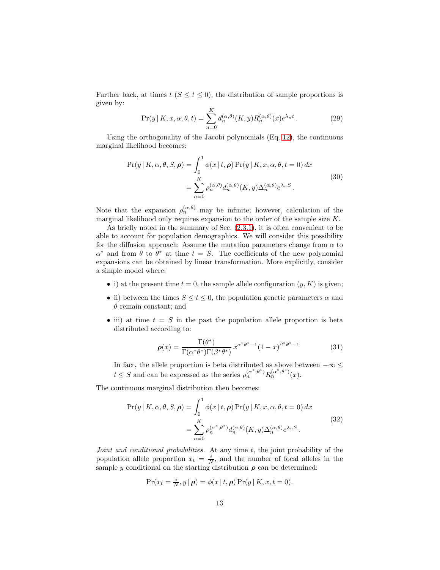Further back, at times  $t$  ( $S \le t \le 0$ ), the distribution of sample proportions is given by:

<span id="page-12-1"></span><span id="page-12-0"></span>
$$
\Pr(y \mid K, x, \alpha, \theta, t) = \sum_{n=0}^{K} d_n^{(\alpha, \theta)}(K, y) R_n^{(\alpha, \theta)}(x) e^{\lambda_n t}.
$$
 (29)

Using the orthogonality of the Jacobi polynomials (Eq. [12\)](#page-8-2), the continuous marginal likelihood becomes:

$$
\Pr(y | K, \alpha, \theta, S, \rho) = \int_0^1 \phi(x | t, \rho) \Pr(y | K, x, \alpha, \theta, t = 0) dx
$$
  
= 
$$
\sum_{n=0}^K \rho_n^{(\alpha, \theta)} d_n^{(\alpha, \theta)}(K, y) \Delta_n^{(\alpha, \theta)} e^{\lambda_n S}.
$$
 (30)

Note that the expansion  $\rho_n^{(\alpha,\theta)}$  may be infinite; however, calculation of the marginal likelihood only requires expansion to the order of the sample size K.

As briefly noted in the summary of Sec. [\(2.3.1\)](#page-9-0), it is often convenient to be able to account for population demographics. We will consider this possibility for the diffusion approach: Assume the mutation parameters change from  $\alpha$  to  $\alpha^*$  and from  $\theta$  to  $\theta^*$  at time  $t = S$ . The coefficients of the new polynomial expansions can be obtained by linear transformation. More explicitly, consider a simple model where:

- i) at the present time  $t = 0$ , the sample allele configuration  $(y, K)$  is given;
- ii) between the times  $S \le t \le 0$ , the population genetic parameters  $\alpha$  and  $\theta$  remain constant; and
- iii) at time  $t = S$  in the past the population allele proportion is beta distributed according to:

<span id="page-12-3"></span><span id="page-12-2"></span>
$$
\rho(x) = \frac{\Gamma(\theta^*)}{\Gamma(\alpha^*\theta^*)\Gamma(\beta^*\theta^*)} x^{\alpha^*\theta^*-1} (1-x)^{\beta^*\theta^*-1}
$$
(31)

In fact, the allele proportion is beta distributed as above between  $-\infty \leq$  $t \leq S$  and can be expressed as the series  $\rho_n^{(\alpha^*,\theta^*)} R_n^{(\alpha^*,\theta^*)}(x)$ .

The continuous marginal distribution then becomes:

$$
\Pr(y \mid K, \alpha, \theta, S, \rho) = \int_0^1 \phi(x \mid t, \rho) \Pr(y \mid K, x, \alpha, \theta, t = 0) dx
$$
  
= 
$$
\sum_{n=0}^K \rho_n^{(\alpha^*, \theta^*)} d_n^{(\alpha, \theta)}(K, y) \Delta_n^{(\alpha, \theta)} e^{\lambda_n S}.
$$
 (32)

Joint and conditional probabilities. At any time  $t$ , the joint probability of the population allele proportion  $x_t = \frac{i}{N}$ , and the number of focal alleles in the sample y conditional on the starting distribution  $\rho$  can be determined:

$$
\Pr(x_t = \frac{i}{N}, y \mid \boldsymbol{\rho}) = \phi(x \mid t, \boldsymbol{\rho}) \Pr(y \mid K, x, t = 0).
$$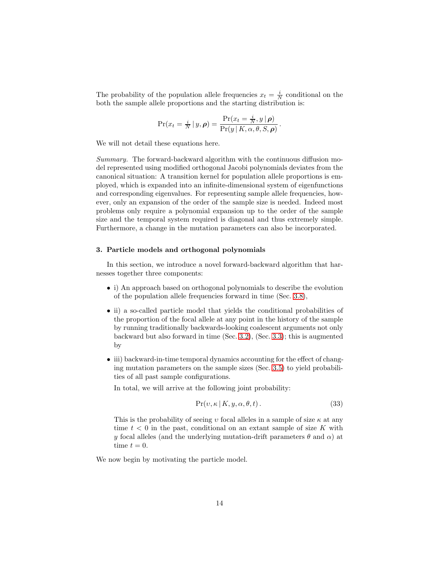The probability of the population allele frequencies  $x_t = \frac{i}{N}$  conditional on the both the sample allele proportions and the starting distribution is:

$$
\Pr(x_t = \frac{i}{N} | y, \rho) = \frac{\Pr(x_t = \frac{i}{N}, y | \rho)}{\Pr(y | K, \alpha, \theta, S, \rho)}.
$$

We will not detail these equations here.

Summary. The forward-backward algorithm with the continuous diffusion model represented using modified orthogonal Jacobi polynomials deviates from the canonical situation: A transition kernel for population allele proportions is employed, which is expanded into an infinite-dimensional system of eigenfunctions and corresponding eigenvalues. For representing sample allele frequencies, however, only an expansion of the order of the sample size is needed. Indeed most problems only require a polynomial expansion up to the order of the sample size and the temporal system required is diagonal and thus extremely simple. Furthermore, a change in the mutation parameters can also be incorporated.

## <span id="page-13-0"></span>3. Particle models and orthogonal polynomials

In this section, we introduce a novel forward-backward algorithm that harnesses together three components:

- i) An approach based on orthogonal polynomials to describe the evolution of the population allele frequencies forward in time (Sec. [3.8\)](#page-21-0),
- ii) a so-called particle model that yields the conditional probabilities of the proportion of the focal allele at any point in the history of the sample by running traditionally backwards-looking coalescent arguments not only backward but also forward in time (Sec. [3.2\)](#page-16-0), (Sec. [3.3\)](#page-17-0); this is augmented by
- iii) backward-in-time temporal dynamics accounting for the effect of changing mutation parameters on the sample sizes (Sec. [3.5\)](#page-20-0) to yield probabilities of all past sample configurations.

In total, we will arrive at the following joint probability:

$$
Pr(v, \kappa \mid K, y, \alpha, \theta, t).
$$
\n(33)

This is the probability of seeing v focal alleles in a sample of size  $\kappa$  at any time  $t < 0$  in the past, conditional on an extant sample of size K with y focal alleles (and the underlying mutation-drift parameters  $\theta$  and  $\alpha$ ) at time  $t = 0$ .

We now begin by motivating the particle model.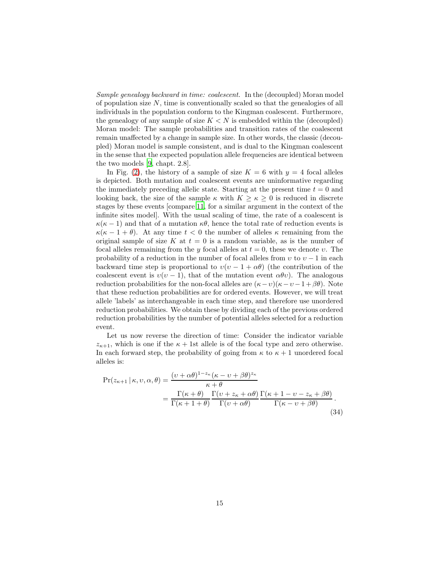Sample genealogy backward in time: coalescent. In the (decoupled) Moran model of population size  $N$ , time is conventionally scaled so that the genealogies of all individuals in the population conform to the Kingman coalescent. Furthermore, the genealogy of any sample of size  $K < N$  is embedded within the (decoupled) Moran model: The sample probabilities and transition rates of the coalescent remain unaffected by a change in sample size. In other words, the classic (decoupled) Moran model is sample consistent, and is dual to the Kingman coalescent in the sense that the expected population allele frequencies are identical between the two models [\[9](#page-35-4), chapt. 2.8].

In Fig. [\(2\)](#page-15-0), the history of a sample of size  $K = 6$  with  $y = 4$  focal alleles is depicted. Both mutation and coalescent events are uninformative regarding the immediately preceding allelic state. Starting at the present time  $t = 0$  and looking back, the size of the sample  $\kappa$  with  $K \geq \kappa \geq 0$  is reduced in discrete stages by these events [compare [11,](#page-36-5) for a similar argument in the context of the infinite sites model]. With the usual scaling of time, the rate of a coalescent is  $\kappa(\kappa-1)$  and that of a mutation  $\kappa\theta$ , hence the total rate of reduction events is  $\kappa(\kappa - 1 + \theta)$ . At any time  $t < 0$  the number of alleles  $\kappa$  remaining from the original sample of size K at  $t = 0$  is a random variable, as is the number of focal alleles remaining from the y focal alleles at  $t = 0$ , these we denote v. The probability of a reduction in the number of focal alleles from  $v$  to  $v - 1$  in each backward time step is proportional to  $v(v - 1 + \alpha \theta)$  (the contribution of the coalescent event is  $v(v-1)$ , that of the mutation event  $\alpha \theta v$ . The analogous reduction probabilities for the non-focal alleles are  $(\kappa - v)(\kappa - v - 1 + \beta \theta)$ . Note that these reduction probabilities are for ordered events. However, we will treat allele 'labels' as interchangeable in each time step, and therefore use unordered reduction probabilities. We obtain these by dividing each of the previous ordered reduction probabilities by the number of potential alleles selected for a reduction event.

Let us now reverse the direction of time: Consider the indicator variable  $z_{\kappa+1}$ , which is one if the  $\kappa + 1$ st allele is of the focal type and zero otherwise. In each forward step, the probability of going from  $\kappa$  to  $\kappa + 1$  unordered focal alleles is:

<span id="page-14-0"></span>
$$
\Pr(z_{\kappa+1} \mid \kappa, v, \alpha, \theta) = \frac{(v + \alpha \theta)^{1 - z_{\kappa}} (\kappa - v + \beta \theta)^{z_{\kappa}}}{\kappa + \theta}
$$

$$
= \frac{\Gamma(\kappa + \theta)}{\Gamma(\kappa + 1 + \theta)} \frac{\Gamma(v + z_{\kappa} + \alpha \theta)}{\Gamma(v + \alpha \theta)} \frac{\Gamma(\kappa + 1 - v - z_{\kappa} + \beta \theta)}{\Gamma(\kappa - v + \beta \theta)}.
$$
(34)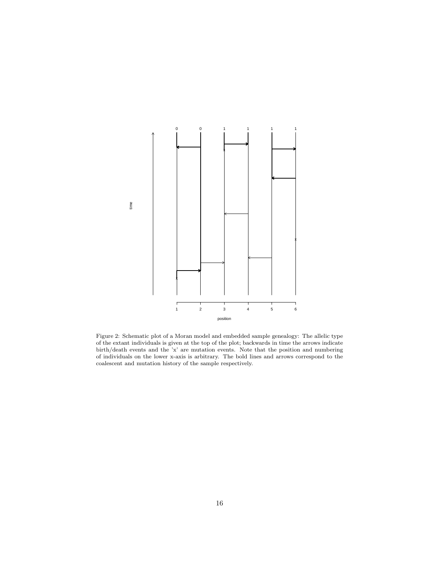<span id="page-15-0"></span>

Figure 2: Schematic plot of a Moran model and embedded sample genealogy: The allelic type of the extant individuals is given at the top of the plot; backwards in time the arrows indicate birth/death events and the 'x' are mutation events. Note that the position and numbering of individuals on the lower x-axis is arbitrary. The bold lines and arrows correspond to the coalescent and mutation history of the sample respectively.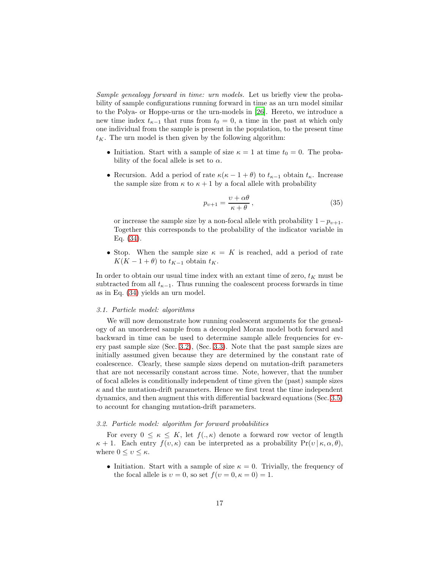Sample genealogy forward in time: urn models. Let us briefly view the probability of sample configurations running forward in time as an urn model similar to the Polya- or Hoppe-urns or the urn-models in [\[26](#page-37-4)]. Hereto, we introduce a new time index  $t_{\kappa-1}$  that runs from  $t_0 = 0$ , a time in the past at which only one individual from the sample is present in the population, to the present time  $t_K$ . The urn model is then given by the following algorithm:

- Initiation. Start with a sample of size  $\kappa = 1$  at time  $t_0 = 0$ . The probability of the focal allele is set to  $\alpha$ .
- Recursion. Add a period of rate  $\kappa(\kappa 1 + \theta)$  to  $t_{\kappa-1}$  obtain  $t_{\kappa}$ . Increase the sample size from  $\kappa$  to  $\kappa + 1$  by a focal allele with probability

$$
p_{\nu+1} = \frac{\nu + \alpha \theta}{\kappa + \theta},\tag{35}
$$

or increase the sample size by a non-focal allele with probability  $1 - p_{\nu+1}$ . Together this corresponds to the probability of the indicator variable in Eq. [\(34\)](#page-14-0).

• Stop. When the sample size  $\kappa = K$  is reached, add a period of rate  $K(K-1+\theta)$  to  $t_{K-1}$  obtain  $t_K$ .

In order to obtain our usual time index with an extant time of zero,  $t_K$  must be subtracted from all  $t_{\kappa-1}$ . Thus running the coalescent process forwards in time as in Eq. [\(34\)](#page-14-0) yields an urn model.

#### 3.1. Particle model: algorithms

We will now demonstrate how running coalescent arguments for the genealogy of an unordered sample from a decoupled Moran model both forward and backward in time can be used to determine sample allele frequencies for every past sample size (Sec. [3.2\)](#page-16-0), (Sec. [3.3\)](#page-17-0). Note that the past sample sizes are initially assumed given because they are determined by the constant rate of coalescence. Clearly, these sample sizes depend on mutation-drift parameters that are not necessarily constant across time. Note, however, that the number of focal alleles is conditionally independent of time given the (past) sample sizes  $\kappa$  and the mutation-drift parameters. Hence we first treat the time independent dynamics, and then augment this with differential backward equations (Sec. [3.5\)](#page-20-0) to account for changing mutation-drift parameters.

## <span id="page-16-0"></span>3.2. Particle model: algorithm for forward probabilities

For every  $0 \leq \kappa \leq K$ , let  $f(.,\kappa)$  denote a forward row vector of length  $\kappa + 1$ . Each entry  $f(v, \kappa)$  can be interpreted as a probability  $Pr(v | \kappa, \alpha, \theta)$ , where  $0 \le v \le \kappa$ .

• Initiation. Start with a sample of size  $\kappa = 0$ . Trivially, the frequency of the focal allele is  $v = 0$ , so set  $f(v = 0, \kappa = 0) = 1$ .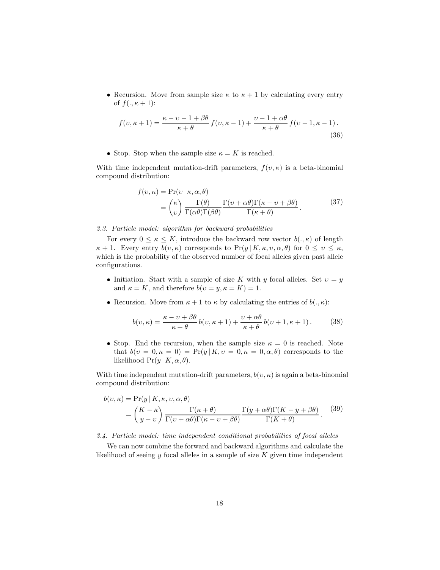• Recursion. Move from sample size  $\kappa$  to  $\kappa + 1$  by calculating every entry of  $f(., \kappa + 1)$ :

$$
f(v, \kappa + 1) = \frac{\kappa - v - 1 + \beta \theta}{\kappa + \theta} f(v, \kappa - 1) + \frac{v - 1 + \alpha \theta}{\kappa + \theta} f(v - 1, \kappa - 1).
$$
\n(36)

• Stop. Stop when the sample size  $\kappa = K$  is reached.

With time independent mutation-drift parameters,  $f(v, \kappa)$  is a beta-binomial compound distribution:

$$
f(v,\kappa) = \Pr(v \mid \kappa, \alpha, \theta)
$$
  
=  $\binom{\kappa}{v} \frac{\Gamma(\theta)}{\Gamma(\alpha \theta)\Gamma(\beta \theta)} \frac{\Gamma(v + \alpha \theta)\Gamma(\kappa - v + \beta \theta)}{\Gamma(\kappa + \theta)}.$  (37)

## <span id="page-17-0"></span>3.3. Particle model: algorithm for backward probabilities

For every  $0 \leq \kappa \leq K$ , introduce the backward row vector  $b(.,\kappa)$  of length  $\kappa + 1$ . Every entry  $b(v, \kappa)$  corresponds to  $Pr(y | K, \kappa, v, \alpha, \theta)$  for  $0 \le v \le \kappa$ , which is the probability of the observed number of focal alleles given past allele configurations.

- Initiation. Start with a sample of size K with y focal alleles. Set  $v = y$ and  $\kappa = K$ , and therefore  $b(v = y, \kappa = K) = 1$ .
- Recursion. Move from  $\kappa + 1$  to  $\kappa$  by calculating the entries of  $b(., \kappa)$ :

$$
b(v,\kappa) = \frac{\kappa - v + \beta \theta}{\kappa + \theta} b(v,\kappa + 1) + \frac{v + \alpha \theta}{\kappa + \theta} b(v + 1, \kappa + 1).
$$
 (38)

• Stop. End the recursion, when the sample size  $\kappa = 0$  is reached. Note that  $b(v = 0, \kappa = 0) = Pr(y | K, v = 0, \kappa = 0, \alpha, \theta)$  corresponds to the likelihood  $Pr(y | K, \alpha, \theta)$ .

With time independent mutation-drift parameters,  $b(v, \kappa)$  is again a beta-binomial compound distribution:

<span id="page-17-1"></span>
$$
b(v,\kappa) = \Pr(y | K, \kappa, v, \alpha, \theta)
$$
  
=  $\binom{K - \kappa}{y - v} \frac{\Gamma(\kappa + \theta)}{\Gamma(v + \alpha \theta)\Gamma(\kappa - v + \beta \theta)} \frac{\Gamma(y + \alpha \theta)\Gamma(K - y + \beta \theta)}{\Gamma(K + \theta)}.$  (39)

3.4. Particle model: time independent conditional probabilities of focal alleles

We can now combine the forward and backward algorithms and calculate the likelihood of seeing  $y$  focal alleles in a sample of size  $K$  given time independent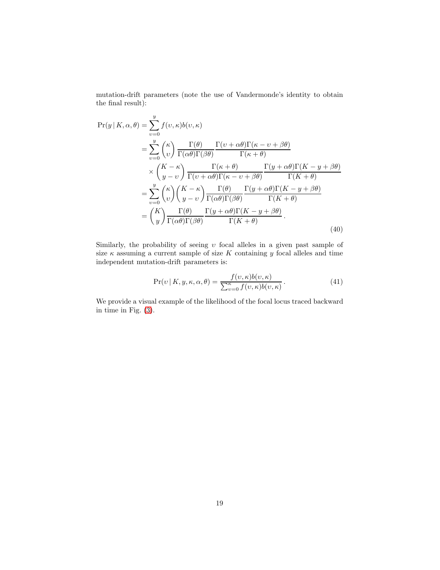mutation-drift parameters (note the use of Vandermonde's identity to obtain the final result):

$$
\Pr(y|K,\alpha,\theta) = \sum_{v=0}^{y} f(v,\kappa)b(v,\kappa)
$$
  
= 
$$
\sum_{v=0}^{y} \binom{\kappa}{v} \frac{\Gamma(\theta)}{\Gamma(\alpha\theta)\Gamma(\beta\theta)} \frac{\Gamma(v+\alpha\theta)\Gamma(\kappa-v+\beta\theta)}{\Gamma(\kappa+\theta)}
$$
  

$$
\times \binom{K-\kappa}{y-v} \frac{\Gamma(\kappa+\theta)}{\Gamma(v+\alpha\theta)\Gamma(\kappa-v+\beta\theta)} \frac{\Gamma(y+\alpha\theta)\Gamma(K-y+\beta\theta)}{\Gamma(K+\theta)}
$$
  
= 
$$
\sum_{v=0}^{y} \binom{\kappa}{v} \binom{K-\kappa}{y-v} \frac{\Gamma(\theta)}{\Gamma(\alpha\theta)\Gamma(\beta\theta)} \frac{\Gamma(y+\alpha\theta)\Gamma(K-y+\beta\theta)}{\Gamma(K+\theta)}
$$
  
= 
$$
\binom{K}{y} \frac{\Gamma(\theta)}{\Gamma(\alpha\theta)\Gamma(\beta\theta)} \frac{\Gamma(y+\alpha\theta)\Gamma(K-y+\beta\theta)}{\Gamma(K+\theta)} .
$$
(40)

Similarly, the probability of seeing  $v$  focal alleles in a given past sample of size  $\kappa$  assuming a current sample of size K containing y focal alleles and time independent mutation-drift parameters is:

<span id="page-18-0"></span>
$$
\Pr(v \mid K, y, \kappa, \alpha, \theta) = \frac{f(v, \kappa)b(v, \kappa)}{\sum_{v=0}^{\kappa} f(v, \kappa)b(v, \kappa)}.
$$
\n(41)

We provide a visual example of the likelihood of the focal locus traced backward in time in Fig. [\(3\)](#page-19-0).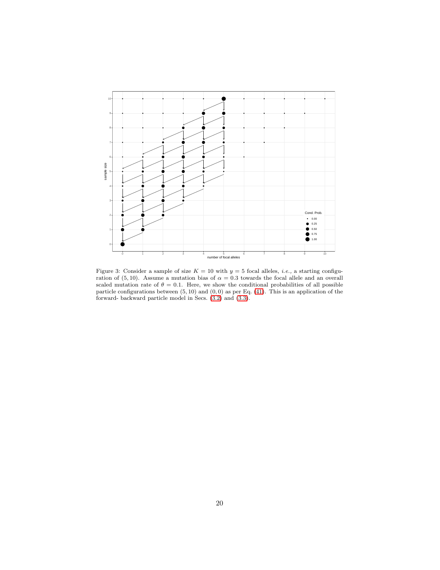<span id="page-19-0"></span>

Figure 3: Consider a sample of size  $K = 10$  with  $y = 5$  focal alleles, *i.e.*, a starting configuration of (5,10). Assume a mutation bias of  $\alpha = 0.3$  towards the focal allele and an overall scaled mutation rate of  $\theta = 0.1$ . Here, we show the conditional probabilities of all possible particle configurations between  $(5, 10)$  and  $(0, 0)$  as per Eq.  $(41)$ . This is an application of the forward- backward particle model in Secs. [\(3.2\)](#page-16-0) and [\(3.3\)](#page-17-0).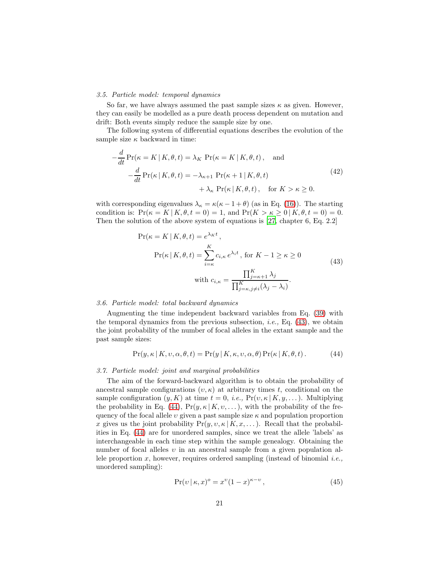## <span id="page-20-0"></span>3.5. Particle model: temporal dynamics

So far, we have always assumed the past sample sizes  $\kappa$  as given. However, they can easily be modelled as a pure death process dependent on mutation and drift: Both events simply reduce the sample size by one.

The following system of differential equations describes the evolution of the sample size  $\kappa$  backward in time:

<span id="page-20-4"></span>
$$
-\frac{d}{dt}\Pr(\kappa = K | K, \theta, t) = \lambda_K \Pr(\kappa = K | K, \theta, t), \text{ and}
$$

$$
-\frac{d}{dt}\Pr(\kappa | K, \theta, t) = -\lambda_{\kappa+1} \Pr(\kappa + 1 | K, \theta, t) + \lambda_{\kappa} \Pr(\kappa | K, \theta, t), \text{ for } K > \kappa \ge 0.
$$
(42)

with corresponding eigenvalues  $\lambda_{\kappa} = \kappa(\kappa - 1 + \theta)$  (as in Eq. [\(16\)](#page-9-1)). The starting condition is:  $Pr(\kappa = K | K, \theta, t = 0) = 1$ , and  $Pr(K > \kappa \geq 0 | K, \theta, t = 0) = 0$ . Then the solution of the above system of equations is [\[27](#page-37-10), chapter 6, Eq. 2.2]

<span id="page-20-1"></span>
$$
\Pr(\kappa = K | K, \theta, t) = e^{\lambda_K t},
$$
\n
$$
\Pr(\kappa | K, \theta, t) = \sum_{i=\kappa}^{K} c_{i,\kappa} e^{\lambda_i t}, \text{ for } K - 1 \ge \kappa \ge 0
$$
\n
$$
\text{with } c_{i,\kappa} = \frac{\prod_{j=\kappa+1}^{K} \lambda_j}{\prod_{j=\kappa, j \ne i}^{K} (\lambda_j - \lambda_i)}.
$$
\n(43)

#### 3.6. Particle model: total backward dynamics

Augmenting the time independent backward variables from Eq. [\(39\)](#page-17-1) with the temporal dynamics from the previous subsection, *i.e.*, Eq.  $(43)$ , we obtain the joint probability of the number of focal alleles in the extant sample and the past sample sizes:

<span id="page-20-2"></span>
$$
Pr(y, \kappa | K, v, \alpha, \theta, t) = Pr(y | K, \kappa, v, \alpha, \theta) Pr(\kappa | K, \theta, t).
$$
 (44)

#### 3.7. Particle model: joint and marginal probabilities

The aim of the forward-backward algorithm is to obtain the probability of ancestral sample configurations  $(v, \kappa)$  at arbitrary times t, conditional on the sample configuration  $(y, K)$  at time  $t = 0$ , *i.e.*,  $Pr(v, \kappa | K, y, \dots)$ . Multiplying the probability in Eq. [\(44\)](#page-20-2),  $Pr(y, \kappa | K, v, \ldots)$ , with the probability of the frequency of the focal allele  $v$  given a past sample size  $\kappa$  and population proportion x gives us the joint probability  $Pr(y, v, \kappa | K, x, \dots)$ . Recall that the probabilities in Eq. [\(44\)](#page-20-2) are for unordered samples, since we treat the allele 'labels' as interchangeable in each time step within the sample genealogy. Obtaining the number of focal alleles  $\nu$  in an ancestral sample from a given population allele proportion  $x$ , however, requires ordered sampling (instead of binomial *i.e.*, unordered sampling):

<span id="page-20-3"></span>
$$
\Pr(v \mid \kappa, x)^{o} = x^{v} (1 - x)^{\kappa - v},\tag{45}
$$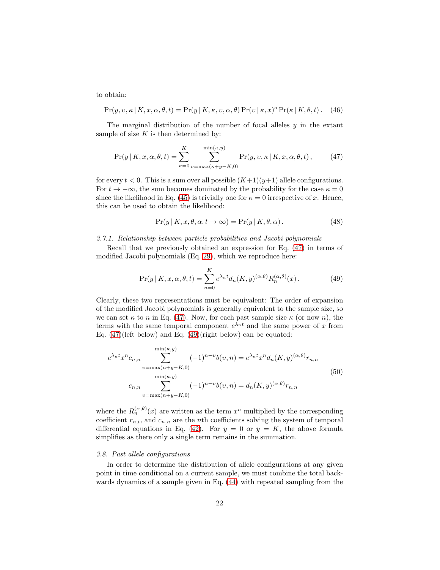to obtain:

$$
Pr(y, v, \kappa | K, x, \alpha, \theta, t) = Pr(y | K, \kappa, v, \alpha, \theta) Pr(v | \kappa, x)^{o} Pr(\kappa | K, \theta, t).
$$
 (46)

The marginal distribution of the number of focal alleles  $\gamma$  in the extant sample of size  $K$  is then determined by:

<span id="page-21-1"></span>
$$
Pr(y|K, x, \alpha, \theta, t) = \sum_{\kappa=0}^{K} \sum_{v=\max(\kappa+y-K,0)}^{\min(\kappa, y)} Pr(y, v, \kappa | K, x, \alpha, \theta, t),
$$
 (47)

for every  $t < 0$ . This is a sum over all possible  $(K+1)(y+1)$  allele configurations. For  $t \to -\infty$ , the sum becomes dominated by the probability for the case  $\kappa = 0$ since the likelihood in Eq. [\(45\)](#page-20-3) is trivially one for  $\kappa = 0$  irrespective of x. Hence, this can be used to obtain the likelihood:

<span id="page-21-2"></span>
$$
Pr(y | K, x, \theta, \alpha, t \to \infty) = Pr(y | K, \theta, \alpha).
$$
 (48)

## 3.7.1. Relationship between particle probabilities and Jacobi polynomials

Recall that we previously obtained an expression for Eq. [\(47\)](#page-21-1) in terms of modified Jacobi polynomials (Eq. [29\)](#page-12-0), which we reproduce here:

$$
\Pr(y \mid K, x, \alpha, \theta, t) = \sum_{n=0}^{K} e^{\lambda_n t} d_n(K, y)^{(\alpha, \theta)} R_n^{(\alpha, \theta)}(x).
$$
 (49)

Clearly, these two representations must be equivalent: The order of expansion of the modified Jacobi polynomials is generally equivalent to the sample size, so we can set  $\kappa$  to n in Eq. [\(47\)](#page-21-1). Now, for each past sample size  $\kappa$  (or now n), the terms with the same temporal component  $e^{\lambda_n t}$  and the same power of x from Eq. [\(47\)](#page-21-1)(left below) and Eq. [\(49\)](#page-21-2)(right below) can be equated:

$$
e^{\lambda_n t} x^n c_{n,n} \sum_{v=\max(n+y-K,0)}^{\min(\kappa,y)} (-1)^{n-v} b(v,n) = e^{\lambda_n t} x^n d_n(K,y)^{(\alpha,\theta)} r_{n,n}
$$
  
\n
$$
c_{n,n} \sum_{v=\max(n+y-K,0)}^{\min(\kappa,y)} (-1)^{n-v} b(v,n) = d_n(K,y)^{(\alpha,\theta)} r_{n,n}
$$
\n(50)

where the  $R_n^{(\alpha,\theta)}(x)$  are written as the term  $x^n$  multiplied by the corresponding coefficient  $r_{n,l}$ , and  $c_{n,n}$  are the *n*th coefficients solving the system of temporal differential equations in Eq. [\(42\)](#page-20-4). For  $y = 0$  or  $y = K$ , the above formula simplifies as there only a single term remains in the summation.

## <span id="page-21-0"></span>3.8. Past allele configurations

 $\ddot{\phantom{0}}$ 

In order to determine the distribution of allele configurations at any given point in time conditional on a current sample, we must combine the total backwards dynamics of a sample given in Eq. [\(44\)](#page-20-2) with repeated sampling from the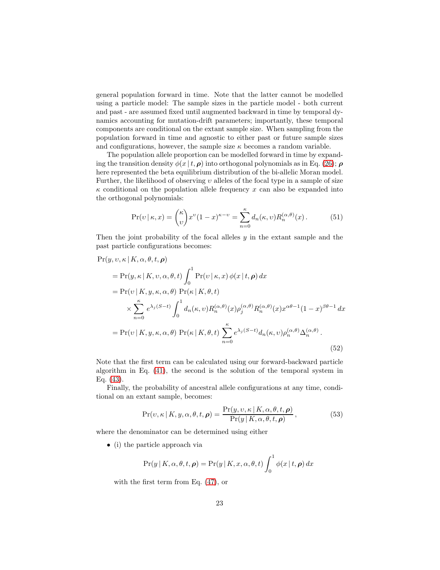general population forward in time. Note that the latter cannot be modelled using a particle model: The sample sizes in the particle model - both current and past - are assumed fixed until augmented backward in time by temporal dynamics accounting for mutation-drift parameters; importantly, these temporal components are conditional on the extant sample size. When sampling from the population forward in time and agnostic to either past or future sample sizes and configurations, however, the sample size  $\kappa$  becomes a random variable.

The population allele proportion can be modelled forward in time by expanding the transition density  $\phi(x | t, \rho)$  into orthogonal polynomials as in Eq. [\(26\)](#page-11-0);  $\rho$ here represented the beta equilibrium distribution of the bi-allelic Moran model. Further, the likelihood of observing  $v$  alleles of the focal type in a sample of size  $\kappa$  conditional on the population allele frequency x can also be expanded into the orthogonal polynomials:

<span id="page-22-0"></span>
$$
\Pr(v \mid \kappa, x) = \binom{\kappa}{v} x^v (1-x)^{\kappa - v} = \sum_{n=0}^{\kappa} d_n(\kappa, v) R_n^{(\alpha, \theta)}(x). \tag{51}
$$

Then the joint probability of the focal alleles  $y$  in the extant sample and the past particle configurations becomes:

$$
\Pr(y, v, \kappa | K, \alpha, \theta, t, \rho)
$$
\n
$$
= \Pr(y, \kappa | K, v, \alpha, \theta, t) \int_0^1 \Pr(v | \kappa, x) \phi(x | t, \rho) dx
$$
\n
$$
= \Pr(v | K, y, \kappa, \alpha, \theta) \Pr(\kappa | K, \theta, t)
$$
\n
$$
\times \sum_{n=0}^{\kappa} e^{\lambda_j (S-t)} \int_0^1 d_n(\kappa, v) R_n^{(\alpha, \theta)}(x) \rho_j^{(\alpha, \theta)} R_n^{(\alpha, \theta)}(x) x^{\alpha \theta - 1} (1 - x)^{\beta \theta - 1} dx
$$
\n
$$
= \Pr(v | K, y, \kappa, \alpha, \theta) \Pr(\kappa | K, \theta, t) \sum_{n=0}^{\kappa} e^{\lambda_j (S-t)} d_n(\kappa, v) \rho_n^{(\alpha, \theta)} \Delta_n^{(\alpha, \theta)}.
$$
\n(52)

Note that the first term can be calculated using our forward-backward particle algorithm in Eq. [\(41\)](#page-18-0), the second is the solution of the temporal system in Eq. [\(43\)](#page-20-1).

Finally, the probability of ancestral allele configurations at any time, conditional on an extant sample, becomes:

$$
\Pr(v,\kappa | K, y, \alpha, \theta, t, \rho) = \frac{\Pr(y, v, \kappa | K, \alpha, \theta, t, \rho)}{\Pr(y | K, \alpha, \theta, t, \rho)},
$$
(53)

where the denominator can be determined using either

• (i) the particle approach via

$$
Pr(y | K, \alpha, \theta, t, \rho) = Pr(y | K, x, \alpha, \theta, t) \int_0^1 \phi(x | t, \rho) dx
$$

with the first term from Eq. [\(47\)](#page-21-1), or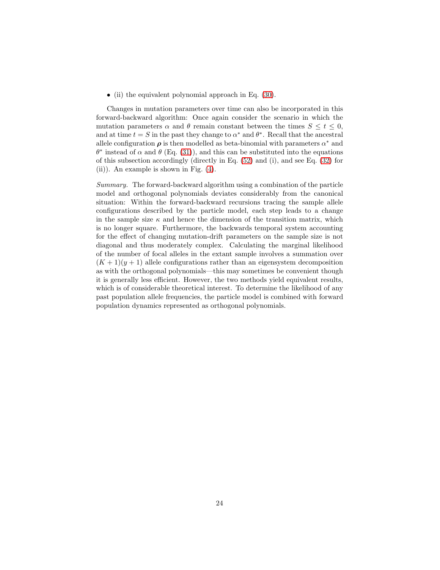• (ii) the equivalent polynomial approach in Eq. [\(30\)](#page-12-1).

Changes in mutation parameters over time can also be incorporated in this forward-backward algorithm: Once again consider the scenario in which the mutation parameters  $\alpha$  and  $\theta$  remain constant between the times  $S \leq t \leq 0$ , and at time  $t = S$  in the past they change to  $\alpha^*$  and  $\theta^*$ . Recall that the ancestral allele configuration  $\rho$  is then modelled as beta-binomial with parameters  $\alpha^*$  and  $\theta^*$  instead of  $\alpha$  and  $\theta$  (Eq. [\(31\)](#page-12-2)), and this can be substituted into the equations of this subsection accordingly (directly in Eq. [\(52\)](#page-22-0) and (i), and see Eq. [\(32\)](#page-12-3) for (ii)). An example is shown in Fig. [\(4\)](#page-24-0).

Summary. The forward-backward algorithm using a combination of the particle model and orthogonal polynomials deviates considerably from the canonical situation: Within the forward-backward recursions tracing the sample allele configurations described by the particle model, each step leads to a change in the sample size  $\kappa$  and hence the dimension of the transition matrix, which is no longer square. Furthermore, the backwards temporal system accounting for the effect of changing mutation-drift parameters on the sample size is not diagonal and thus moderately complex. Calculating the marginal likelihood of the number of focal alleles in the extant sample involves a summation over  $(K+1)(y+1)$  allele configurations rather than an eigensystem decomposition as with the orthogonal polynomials—this may sometimes be convenient though it is generally less efficient. However, the two methods yield equivalent results, which is of considerable theoretical interest. To determine the likelihood of any past population allele frequencies, the particle model is combined with forward population dynamics represented as orthogonal polynomials.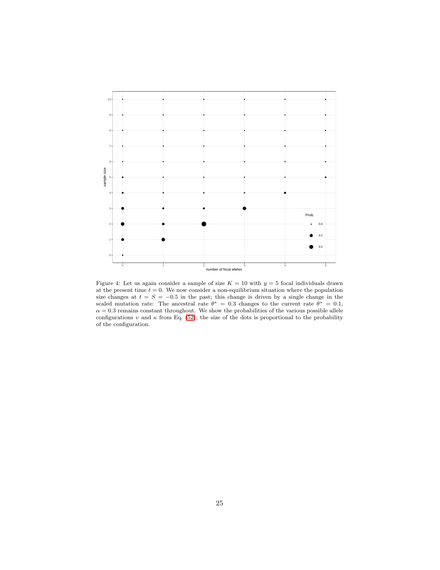<span id="page-24-0"></span>

Figure 4: Let us again consider a sample of size  $K = 10$  with  $y = 5$  focal individuals drawn at the present time  $t = 0$ . We now consider a non-equilibrium situation where the population size changes at  $t = S = -0.5$  in the past; this change is driven by a single change in the scaled mutation rate: The ancestral rate  $\theta^* = 0.3$  changes to the current rate  $\theta^* = 0.1$ ,  $\alpha = 0.3$  remains constant throughout. We show the probabilities of the various possible allele configurations  $v$  and  $\kappa$  from Eq. [\(52\)](#page-22-0); the size of the dots is proportional to the probability of the configuration.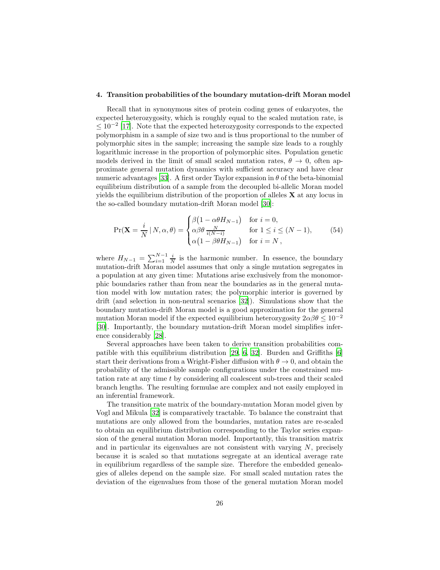#### <span id="page-25-0"></span>4. Transition probabilities of the boundary mutation-drift Moran model

Recall that in synonymous sites of protein coding genes of eukaryotes, the expected heterozygosity, which is roughly equal to the scaled mutation rate, is  $\leq 10^{-2}$  [\[17](#page-36-8)]. Note that the expected heterozygosity corresponds to the expected polymorphism in a sample of size two and is thus proportional to the number of polymorphic sites in the sample; increasing the sample size leads to a roughly logarithmic increase in the proportion of polymorphic sites. Population genetic models derived in the limit of small scaled mutation rates,  $\theta \to 0$ , often approximate general mutation dynamics with sufficient accuracy and have clear numeric advantages [\[33\]](#page-37-11). A first order Taylor expansion in  $\theta$  of the beta-binomial equilibrium distribution of a sample from the decoupled bi-allelic Moran model yields the equilibrium distribution of the proportion of alleles  $X$  at any locus in the so-called boundary mutation-drift Moran model [\[30\]](#page-37-5):

<span id="page-25-1"></span>
$$
\Pr(\mathbf{X} = \frac{i}{N} | N, \alpha, \theta) = \begin{cases} \beta \left( 1 - \alpha \theta H_{N-1} \right) & \text{for } i = 0, \\ \alpha \beta \theta \frac{N}{i(N-i)} & \text{for } 1 \le i \le (N-1), \\ \alpha \left( 1 - \beta \theta H_{N-1} \right) & \text{for } i = N, \end{cases} \tag{54}
$$

where  $H_{N-1} = \sum_{i=1}^{N-1} \frac{i}{N}$  is the harmonic number. In essence, the boundary mutation-drift Moran model assumes that only a single mutation segregates in a population at any given time: Mutations arise exclusively from the monomorphic boundaries rather than from near the boundaries as in the general mutation model with low mutation rates; the polymorphic interior is governed by drift (and selection in non-neutral scenarios [\[32\]](#page-37-12)). Simulations show that the boundary mutation-drift Moran model is a good approximation for the general mutation Moran model if the expected equilibrium heterozygosity  $2\alpha\beta\theta \leq 10^{-2}$ [\[30\]](#page-37-5). Importantly, the boundary mutation-drift Moran model simplifies inference considerably [\[28\]](#page-37-13).

Several approaches have been taken to derive transition probabilities compatible with this equilibrium distribution [\[29,](#page-37-6) [6](#page-35-6), [32\]](#page-37-12). Burden and Griffiths [\[6\]](#page-35-6) start their derivations from a Wright-Fisher diffusion with  $\theta \to 0$ , and obtain the probability of the admissible sample configurations under the constrained mutation rate at any time t by considering all coalescent sub-trees and their scaled branch lengths. The resulting formulae are complex and not easily employed in an inferential framework.

The transition rate matrix of the boundary-mutation Moran model given by Vogl and Mikula [\[32](#page-37-12)] is comparatively tractable. To balance the constraint that mutations are only allowed from the boundaries, mutation rates are re-scaled to obtain an equilibrium distribution corresponding to the Taylor series expansion of the general mutation Moran model. Importantly, this transition matrix and in particular its eigenvalues are not consistent with varying  $N$ , precisely because it is scaled so that mutations segregate at an identical average rate in equilibrium regardless of the sample size. Therefore the embedded genealogies of alleles depend on the sample size. For small scaled mutation rates the deviation of the eigenvalues from those of the general mutation Moran model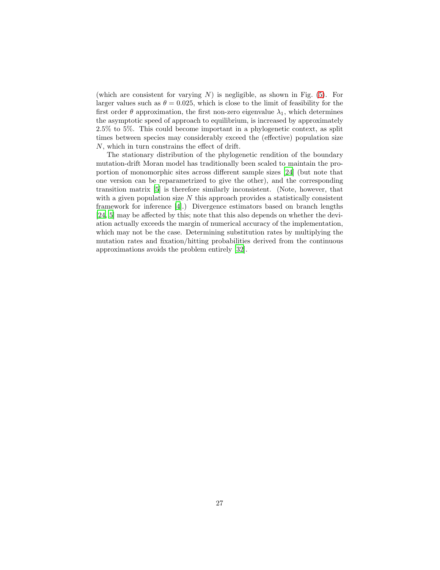(which are consistent for varying  $N$ ) is negligible, as shown in Fig.  $(5)$ . For larger values such as  $\theta = 0.025$ , which is close to the limit of feasibility for the first order  $\theta$  approximation, the first non-zero eigenvalue  $\lambda_1$ , which determines the asymptotic speed of approach to equilibrium, is increased by approximately 2.5% to 5%. This could become important in a phylogenetic context, as split times between species may considerably exceed the (effective) population size N, which in turn constrains the effect of drift.

The stationary distribution of the phylogenetic rendition of the boundary mutation-drift Moran model has traditionally been scaled to maintain the proportion of monomorphic sites across different sample sizes [\[24](#page-37-14)] (but note that one version can be reparametrized to give the other), and the corresponding transition matrix [\[5](#page-35-7)] is therefore similarly inconsistent. (Note, however, that with a given population size  $N$  this approach provides a statistically consistent framework for inference [\[4\]](#page-35-8).) Divergence estimators based on branch lengths [\[24,](#page-37-14) [5](#page-35-7)] may be affected by this; note that this also depends on whether the deviation actually exceeds the margin of numerical accuracy of the implementation, which may not be the case. Determining substitution rates by multiplying the mutation rates and fixation/hitting probabilities derived from the continuous approximations avoids the problem entirely [\[32\]](#page-37-12).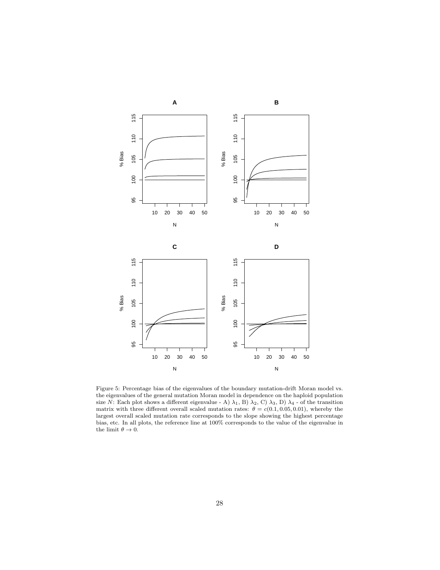<span id="page-27-0"></span>

Figure 5: Percentage bias of the eigenvalues of the boundary mutation-drift Moran model vs. the eigenvalues of the general mutation Moran model in dependence on the haploid population size N: Each plot shows a different eigenvalue - A)  $\lambda_1$ , B)  $\lambda_2$ , C)  $\lambda_3$ , D)  $\lambda_4$  - of the transition matrix with three different overall scaled mutation rates:  $\theta = c(0.1, 0.05, 0.01)$ , whereby the largest overall scaled mutation rate corresponds to the slope showing the highest percentage bias, etc. In all plots, the reference line at 100% corresponds to the value of the eigenvalue in the limit  $\theta \to 0$ .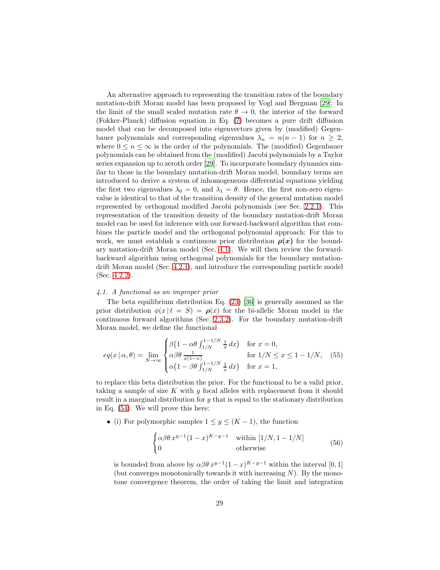An alternative approach to representing the transition rates of the boundary mutation-drift Moran model has been proposed by Vogl and Bergman [\[29\]](#page-37-6): In the limit of the small scaled mutation rate  $\theta \to 0$ , the interior of the forward (Fokker-Planck) diffusion equation in Eq. [\(7\)](#page-7-2) becomes a pure drift diffusion model that can be decomposed into eigenvectors given by (modified) Gegenbauer polynomials and corresponding eigenvalues  $\lambda_n = n(n-1)$  for  $n \geq 2$ , where  $0 \leq n \leq \infty$  is the order of the polynomials. The (modified) Gegenbauer polynomials can be obtained from the (modified) Jacobi polynomials by a Taylor series expansion up to zeroth order [\[29\]](#page-37-6). To incorporate boundary dynamics similar to those in the boundary mutation-drift Moran model, boundary terms are introduced to derive a system of inhomogeneous differential equations yielding the first two eigenvalues  $\lambda_0 = 0$ , and  $\lambda_1 = \theta$ . Hence, the first non-zero eigenvalue is identical to that of the transition density of the general mutation model represented by orthogonal modified Jacobi polynomials (see Sec. [2.2.1\)](#page-8-0). This representation of the transition density of the boundary mutation-drift Moran model can be used for inference with our forward-backward algorithm that combines the particle model and the orthogonal polynomial approach: For this to work, we must establish a continuous prior distribution  $\rho(x)$  for the boundary mutation-drift Moran model (Sec. [4.1\)](#page-28-0). We will then review the forwardbackward algorithm using orthogonal polynomials for the boundary mutationdrift Moran model (Sec. [4.2.1\)](#page-29-0), and introduce the corresponding particle model (Sec. [4.2.2\)](#page-33-0).

#### <span id="page-28-0"></span>4.1. A functional as an improper prior

The beta equilibrium distribution Eq. [\(23\)](#page-11-1) [\[36\]](#page-37-9) is generally assumed as the prior distribution  $\phi(x | t = S) = \rho(x)$  for the bi-allelic Moran model in the continuous forward algorithms (Sec. [2.3.2\)](#page-10-0). For the boundary mutation-drift Moran model, we define the functional

<span id="page-28-1"></span>
$$
eq(x \mid \alpha, \theta) = \lim_{N \to \infty} \begin{cases} \beta \left(1 - \alpha \theta \int_{1/N}^{1 - 1/N} \frac{1}{x} dx\right) & \text{for } x = 0, \\ \alpha \beta \theta \frac{1}{x(1 - x)} & \text{for } 1/N \le x \le 1 - 1/N, \\ \alpha \left(1 - \beta \theta \int_{1/N}^{1 - 1/N} \frac{1}{x} dx\right) & \text{for } x = 1, \end{cases} \tag{55}
$$

to replace this beta distribution the prior. For the functional to be a valid prior, taking a sample of size  $K$  with  $y$  focal alleles with replacement from it should result in a marginal distribution for y that is equal to the stationary distribution in Eq. [\(54\)](#page-25-1). We will prove this here:

• (i) For polymorphic samples  $1 \leq y \leq (K-1)$ , the function

$$
\begin{cases} \alpha \beta \theta \, x^{y-1} (1-x)^{K-y-1} & \text{within } [1/N, 1-1/N] \\ 0 & \text{otherwise} \end{cases} \tag{56}
$$

is bounded from above by  $\alpha\beta\theta x^{y-1}(1-x)^{K-y-1}$  within the interval [0, 1] (but converges monotonically towards it with increasing  $N$ ). By the monotone convergence theorem, the order of taking the limit and integration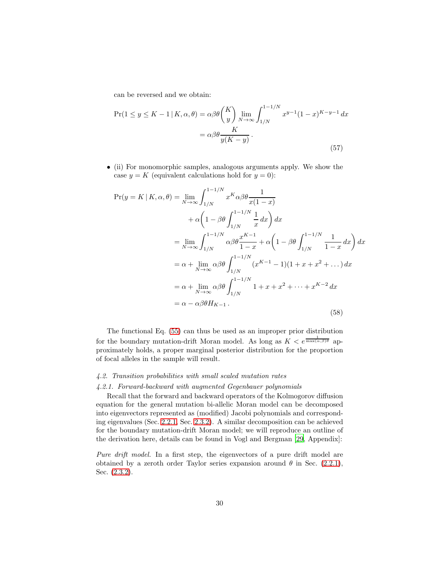can be reversed and we obtain:

$$
\Pr(1 \le y \le K - 1 \mid K, \alpha, \theta) = \alpha \beta \theta \binom{K}{y} \lim_{N \to \infty} \int_{1/N}^{1 - 1/N} x^{y - 1} (1 - x)^{K - y - 1} dx
$$

$$
= \alpha \beta \theta \frac{K}{y(K - y)}.
$$
(57)

• (ii) For monomorphic samples, analogous arguments apply. We show the case  $y = K$  (equivalent calculations hold for  $y = 0$ ):

$$
\Pr(y = K | K, \alpha, \theta) = \lim_{N \to \infty} \int_{1/N}^{1 - 1/N} x^{K} \alpha \beta \theta \frac{1}{x(1 - x)}
$$
  
+  $\alpha \left( 1 - \beta \theta \int_{1/N}^{1 - 1/N} \frac{1}{x} dx \right) dx$   
=  $\lim_{N \to \infty} \int_{1/N}^{1 - 1/N} \alpha \beta \theta \frac{x^{K - 1}}{1 - x} + \alpha \left( 1 - \beta \theta \int_{1/N}^{1 - 1/N} \frac{1}{1 - x} dx \right) dx$   
=  $\alpha + \lim_{N \to \infty} \alpha \beta \theta \int_{1/N}^{1 - 1/N} (x^{K - 1} - 1)(1 + x + x^{2} + \dots) dx$   
=  $\alpha + \lim_{N \to \infty} \alpha \beta \theta \int_{1/N}^{1 - 1/N} 1 + x + x^{2} + \dots + x^{K - 2} dx$   
=  $\alpha - \alpha \beta \theta H_{K - 1}$ . (58)

The functional Eq. [\(55\)](#page-28-1) can thus be used as an improper prior distribution for the boundary mutation-drift Moran model. As long as  $K < e^{\frac{1}{\max(\alpha,\beta)\theta}}$  approximately holds, a proper marginal posterior distribution for the proportion of focal alleles in the sample will result.

### <span id="page-29-0"></span>4.2. Transition probabilities with small scaled mutation rates

#### 4.2.1. Forward-backward with augmented Gegenbauer polynomials

Recall that the forward and backward operators of the Kolmogorov diffusion equation for the general mutation bi-allelic Moran model can be decomposed into eigenvectors represented as (modified) Jacobi polynomials and corresponding eigenvalues (Sec. [2.2.1,](#page-8-0) Sec. [2.3.2\)](#page-10-0). A similar decomposition can be achieved for the boundary mutation-drift Moran model; we will reproduce an outline of the derivation here, details can be found in Vogl and Bergman [\[29,](#page-37-6) Appendix]:

Pure drift model. In a first step, the eigenvectors of a pure drift model are obtained by a zeroth order Taylor series expansion around  $\theta$  in Sec. [\(2.2.1\)](#page-8-0), Sec. [\(2.3.2\)](#page-10-0).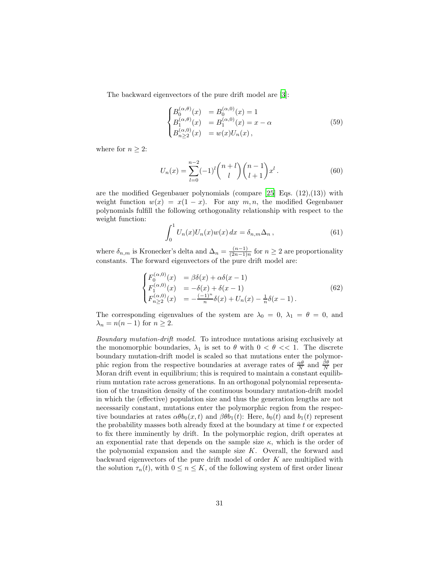The backward eigenvectors of the pure drift model are [\[3](#page-35-3)]:

$$
\begin{cases}\nB_0^{(\alpha,\theta)}(x) &= B_0^{(\alpha,0)}(x) = 1 \\
B_1^{(\alpha,\theta)}(x) &= B_1^{(\alpha,0)}(x) = x - \alpha \\
B_{n \ge 2}^{(\alpha,0)}(x) &= w(x)U_n(x),\n\end{cases}
$$
\n(59)

where for  $n \geq 2$ :

$$
U_n(x) = \sum_{l=0}^{n-2} (-1)^l \binom{n+l}{l} \binom{n-1}{l+1} x^l.
$$
 (60)

are the modified Gegenbauer polynomials (compare  $[25]$  Eqs.  $(12),(13)$ ) with weight function  $w(x) = x(1-x)$ . For any  $m, n$ , the modified Gegenbauer polynomials fulfill the following orthogonality relationship with respect to the weight function:

$$
\int_0^1 U_n(x)U_n(x)w(x) dx = \delta_{n,m}\Delta_n, \qquad (61)
$$

where  $\delta_{n,m}$  is Kronecker's delta and  $\Delta_n = \frac{(n-1)}{(2n-1)}$  $\frac{(n-1)}{(2n-1)n}$  for  $n \geq 2$  are proportionality constants. The forward eigenvectors of the pure drift model are:

$$
\begin{cases}\nF_0^{(\alpha,0)}(x) &= \beta \delta(x) + \alpha \delta(x-1) \\
F_1^{(\alpha,0)}(x) &= -\delta(x) + \delta(x-1) \\
F_{n \ge 2}^{(\alpha,0)}(x) &= -\frac{(-1)^n}{n} \delta(x) + U_n(x) - \frac{1}{n} \delta(x-1).\n\end{cases}
$$
\n(62)

The corresponding eigenvalues of the system are  $\lambda_0 = 0$ ,  $\lambda_1 = \theta = 0$ , and  $\lambda_n = n(n-1)$  for  $n \geq 2$ .

Boundary mutation-drift model. To introduce mutations arising exclusively at the monomorphic boundaries,  $\lambda_1$  is set to  $\theta$  with  $0 < \theta \ll 1$ . The discrete boundary mutation-drift model is scaled so that mutations enter the polymorphic region from the respective boundaries at average rates of  $\frac{\alpha\theta}{N}$  and  $\frac{\beta\theta}{N}$  per Moran drift event in equilibrium; this is required to maintain a constant equilibrium mutation rate across generations. In an orthogonal polynomial representation of the transition density of the continuous boundary mutation-drift model in which the (effective) population size and thus the generation lengths are not necessarily constant, mutations enter the polymorphic region from the respective boundaries at rates  $\alpha\theta b_0(x,t)$  and  $\beta\theta b_1(t)$ : Here,  $b_0(t)$  and  $b_1(t)$  represent the probability masses both already fixed at the boundary at time t or expected to fix there imminently by drift. In the polymorphic region, drift operates at an exponential rate that depends on the sample size  $\kappa$ , which is the order of the polynomial expansion and the sample size  $K$ . Overall, the forward and backward eigenvectors of the pure drift model of order  $K$  are multiplied with the solution  $\tau_n(t)$ , with  $0 \leq n \leq K$ , of the following system of first order linear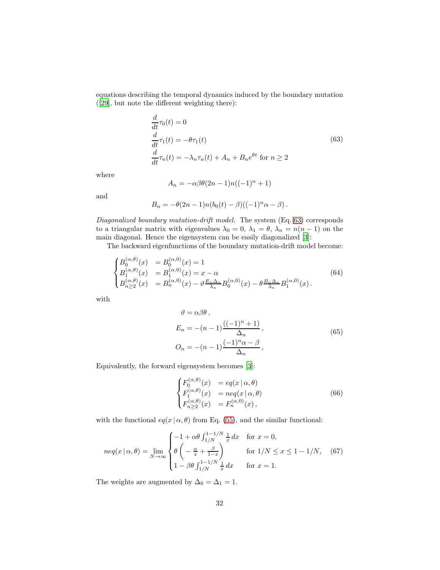equations describing the temporal dynamics induced by the boundary mutation ([\[29](#page-37-6)], but note the different weighting there):

<span id="page-31-0"></span>
$$
\frac{d}{dt}\tau_0(t) = 0
$$
\n
$$
\frac{d}{dt}\tau_1(t) = -\theta\tau_1(t)
$$
\n
$$
\frac{d}{dt}\tau_n(t) = -\lambda_n \tau_n(t) + A_n + B_n e^{\theta t} \text{ for } n \ge 2
$$
\n(63)

where

$$
A_n = -\alpha \beta \theta (2n - 1) n((-1)^n + 1)
$$

and

$$
B_n = -\theta(2n-1)n(b_0(t) - \beta)((-1)^n \alpha - \beta).
$$

Diagonalized boundary mutation-drift model. The system (Eq. [63\)](#page-31-0) corresponds to a triangular matrix with eigenvalues  $\lambda_0 = 0$ ,  $\lambda_1 = \theta$ ,  $\lambda_n = n(n-1)$  on the main diagonal. Hence the eigensystem can be easily diagonalized [\[3](#page-35-3)]:

The backward eigenfunctions of the boundary mutation-drift model become:

$$
\begin{cases}\nB_0^{(\alpha,\theta)}(x) &= B_0^{(\alpha,0)}(x) = 1 \\
B_1^{(\alpha,\theta)}(x) &= B_1^{(\alpha,0)}(x) = x - \alpha \\
B_{n \ge 2}^{(\alpha,\theta)}(x) &= B_n^{(\alpha,0)}(x) - \vartheta \frac{E_n \Delta_n}{\lambda_n} B_0^{(\alpha,0)}(x) - \theta \frac{B_n \Delta_n}{\lambda_n} B_1^{(\alpha,0)}(x).\n\end{cases}
$$
\n(64)

with

$$
\vartheta = \alpha \beta \theta,
$$
  
\n
$$
E_n = -(n-1) \frac{((-1)^n + 1)}{\Delta_n},
$$
  
\n
$$
O_n = -(n-1) \frac{(-1)^n \alpha - \beta}{\Delta_n},
$$
\n(65)

Equivalently, the forward eigensystem becomes [\[3\]](#page-35-3):

$$
\begin{cases}\nF_0^{(\alpha,\theta)}(x) &= eq(x \mid \alpha, \theta) \\
F_1^{(\alpha,\theta)}(x) &= neq(x \mid \alpha, \theta) \\
F_{n \ge 2}^{(\alpha,\theta)}(x) &= F_n^{(\alpha,0)}(x),\n\end{cases}
$$
\n(66)

with the functional  $eq(x | \alpha, \theta)$  from Eq. [\(55\)](#page-28-1), and the similar functional:

$$
neq(x \mid \alpha, \theta) = \lim_{N \to \infty} \begin{cases} -1 + \alpha \theta \int_{1/N}^{1-1/N} \frac{1}{x} dx & \text{for } x = 0, \\ \theta \left( -\frac{\alpha}{x} + \frac{\beta}{1-x} \right) & \text{for } 1/N \le x \le 1 - 1/N, \\ 1 - \beta \theta \int_{1/N}^{1-1/N} \frac{1}{x} dx & \text{for } x = 1. \end{cases}
$$
(67)

The weights are augmented by  $\Delta_0=\Delta_1=1.$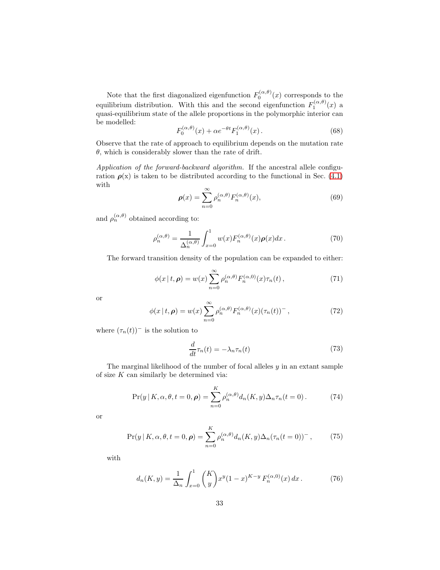Note that the first diagonalized eigenfunction  $F_0^{(\alpha,\theta)}(x)$  corresponds to the equilibrium distribution. With this and the second eigenfunction  $F_1^{(\alpha,\theta)}(x)$  a quasi-equilibrium state of the allele proportions in the polymorphic interior can be modelled:

$$
F_0^{(\alpha,\theta)}(x) + \alpha e^{-\theta t} F_1^{(\alpha,\theta)}(x) \,. \tag{68}
$$

Observe that the rate of approach to equilibrium depends on the mutation rate  $\theta$ , which is considerably slower than the rate of drift.

Application of the forward-backward algorithm. If the ancestral allele configuration  $\rho(x)$  is taken to be distributed according to the functional in Sec. [\(4.1\)](#page-28-0) with

$$
\rho(x) = \sum_{n=0}^{\infty} \rho_n^{(\alpha,\theta)} F_n^{(\alpha,\theta)}(x),\tag{69}
$$

and  $\rho_n^{(\alpha,\theta)}$  obtained according to:

$$
\rho_n^{(\alpha,\theta)} = \frac{1}{\Delta_n^{(\alpha,\theta)}} \int_{x=0}^1 w(x) F_n^{(\alpha,\theta)}(x) \rho(x) dx.
$$
 (70)

The forward transition density of the population can be expanded to either:

$$
\phi(x \mid t, \rho) = w(x) \sum_{n=0}^{\infty} \rho_n^{(\alpha, \theta)} F_n^{(\alpha, 0)}(x) \tau_n(t) , \qquad (71)
$$

or

$$
\phi(x \mid t, \rho) = w(x) \sum_{n=0}^{\infty} \rho_n^{(\alpha, \theta)} F_n^{(\alpha, \theta)}(x) (\tau_n(t))^{-}, \qquad (72)
$$

where  $(\tau_n(t))^-$  is the solution to

<span id="page-32-0"></span>
$$
\frac{d}{dt}\tau_n(t) = -\lambda_n \tau_n(t) \tag{73}
$$

The marginal likelihood of the number of focal alleles  $y$  in an extant sample of size  $K$  can similarly be determined via:

$$
\Pr(y|K,\alpha,\theta,t=0,\boldsymbol{\rho}) = \sum_{n=0}^{K} \rho_n^{(\alpha,\theta)} d_n(K,y) \Delta_n \tau_n(t=0).
$$
 (74)

<span id="page-32-1"></span>or

$$
\Pr(y|K,\alpha,\theta,t=0,\boldsymbol{\rho}) = \sum_{n=0}^{K} \rho_n^{(\alpha,\theta)} d_n(K,y) \Delta_n(\tau_n(t=0))^-, \tag{75}
$$

with

$$
d_n(K, y) = \frac{1}{\Delta_n} \int_{x=0}^1 {K \choose y} x^y (1-x)^{K-y} F_n^{(\alpha, 0)}(x) dx.
$$
 (76)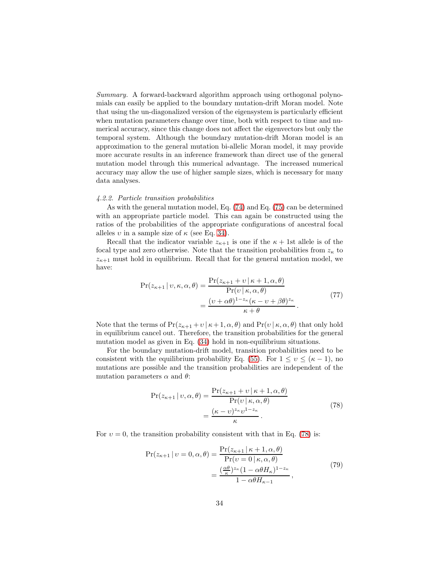Summary. A forward-backward algorithm approach using orthogonal polynomials can easily be applied to the boundary mutation-drift Moran model. Note that using the un-diagonalized version of the eigensystem is particularly efficient when mutation parameters change over time, both with respect to time and numerical accuracy, since this change does not affect the eigenvectors but only the temporal system. Although the boundary mutation-drift Moran model is an approximation to the general mutation bi-allelic Moran model, it may provide more accurate results in an inference framework than direct use of the general mutation model through this numerical advantage. The increased numerical accuracy may allow the use of higher sample sizes, which is necessary for many data analyses.

### <span id="page-33-0"></span>4.2.2. Particle transition probabilities

As with the general mutation model, Eq. [\(74\)](#page-32-0) and Eq. [\(75\)](#page-32-1) can be determined with an appropriate particle model. This can again be constructed using the ratios of the probabilities of the appropriate configurations of ancestral focal alleles  $v$  in a sample size of  $\kappa$  (see Eq. [34\)](#page-14-0).

Recall that the indicator variable  $z_{\kappa+1}$  is one if the  $\kappa + 1$ st allele is of the focal type and zero otherwise. Note that the transition probabilities from  $z_{\kappa}$  to  $z_{\kappa+1}$  must hold in equilibrium. Recall that for the general mutation model, we have:

$$
\Pr(z_{\kappa+1} | v, \kappa, \alpha, \theta) = \frac{\Pr(z_{\kappa+1} + v | \kappa + 1, \alpha, \theta)}{\Pr(v | \kappa, \alpha, \theta)} \n= \frac{(v + \alpha \theta)^{1 - z_{\kappa}} (\kappa - v + \beta \theta)^{z_{\kappa}}}{\kappa + \theta}.
$$
\n(77)

Note that the terms of  $Pr(z_{\kappa+1}+v \mid \kappa+1,\alpha,\theta)$  and  $Pr(v \mid \kappa,\alpha,\theta)$  that only hold in equilibrium cancel out. Therefore, the transition probabilities for the general mutation model as given in Eq. [\(34\)](#page-14-0) hold in non-equilibrium situations.

For the boundary mutation-drift model, transition probabilities need to be consistent with the equilibrium probability Eq. [\(55\)](#page-28-1). For  $1 \le v \le (\kappa - 1)$ , no mutations are possible and the transition probabilities are independent of the mutation parameters  $\alpha$  and  $\theta$ :

<span id="page-33-1"></span>
$$
Pr(z_{\kappa+1} | v, \alpha, \theta) = \frac{Pr(z_{\kappa+1} + v | \kappa + 1, \alpha, \theta)}{Pr(v | \kappa, \alpha, \theta)}
$$

$$
= \frac{(\kappa - v)^{z_{\kappa}} v^{1 - z_{\kappa}}}{\kappa} \tag{78}
$$

For  $v = 0$ , the transition probability consistent with that in Eq. [\(78\)](#page-33-1) is:

$$
\Pr(z_{\kappa+1} | v = 0, \alpha, \theta) = \frac{\Pr(z_{\kappa+1} | \kappa + 1, \alpha, \theta)}{\Pr(v = 0 | \kappa, \alpha, \theta)} \n= \frac{\left(\frac{\alpha \theta}{\kappa}\right)^{z_{\kappa}} (1 - \alpha \theta H_{\kappa})^{1 - z_{\kappa}}}{1 - \alpha \theta H_{\kappa-1}},
$$
\n(79)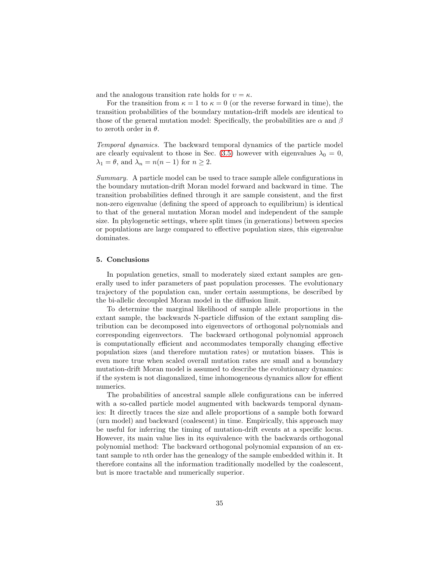and the analogous transition rate holds for  $v = \kappa$ .

For the transition from  $\kappa = 1$  to  $\kappa = 0$  (or the reverse forward in time), the transition probabilities of the boundary mutation-drift models are identical to those of the general mutation model: Specifically, the probabilities are  $\alpha$  and  $\beta$ to zeroth order in  $\theta$ .

Temporal dynamics. The backward temporal dynamics of the particle model are clearly equivalent to those in Sec. [\(3.5\)](#page-20-0) however with eigenvalues  $\lambda_0 = 0$ ,  $\lambda_1 = \theta$ , and  $\lambda_n = n(n-1)$  for  $n \geq 2$ .

Summary. A particle model can be used to trace sample allele configurations in the boundary mutation-drift Moran model forward and backward in time. The transition probabilities defined through it are sample consistent, and the first non-zero eigenvalue (defining the speed of approach to equilibrium) is identical to that of the general mutation Moran model and independent of the sample size. In phylogenetic settings, where split times (in generations) between species or populations are large compared to effective population sizes, this eigenvalue dominates.

## 5. Conclusions

In population genetics, small to moderately sized extant samples are generally used to infer parameters of past population processes. The evolutionary trajectory of the population can, under certain assumptions, be described by the bi-allelic decoupled Moran model in the diffusion limit.

To determine the marginal likelihood of sample allele proportions in the extant sample, the backwards N-particle diffusion of the extant sampling distribution can be decomposed into eigenvectors of orthogonal polynomials and corresponding eigenvectors. The backward orthogonal polynomial approach is computationally efficient and accommodates temporally changing effective population sizes (and therefore mutation rates) or mutation biases. This is even more true when scaled overall mutation rates are small and a boundary mutation-drift Moran model is assumed to describe the evolutionary dynamics: if the system is not diagonalized, time inhomogeneous dynamics allow for effient numerics.

The probabilities of ancestral sample allele configurations can be inferred with a so-called particle model augmented with backwards temporal dynamics: It directly traces the size and allele proportions of a sample both forward (urn model) and backward (coalescent) in time. Empirically, this approach may be useful for inferring the timing of mutation-drift events at a specific locus. However, its main value lies in its equivalence with the backwards orthogonal polynomial method: The backward orthogonal polynomial expansion of an extant sample to nth order has the genealogy of the sample embedded within it. It therefore contains all the information traditionally modelled by the coalescent, but is more tractable and numerically superior.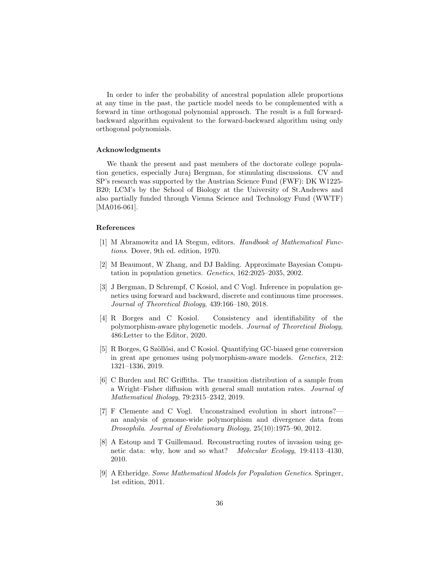In order to infer the probability of ancestral population allele proportions at any time in the past, the particle model needs to be complemented with a forward in time orthogonal polynomial approach. The result is a full forwardbackward algorithm equivalent to the forward-backward algorithm using only orthogonal polynomials.

## Acknowledgments

We thank the present and past members of the doctorate college population genetics, especially Juraj Bergman, for stimulating discussions. CV and SP's research was supported by the Austrian Science Fund (FWF): DK W1225- B20; LCM's by the School of Biology at the University of St.Andrews and also partially funded through Vienna Science and Technology Fund (WWTF) [MA016-061].

#### References

- <span id="page-35-5"></span>[1] M Abramowitz and IA Stegun, editors. Handbook of Mathematical Functions. Dover, 9th ed. edition, 1970.
- <span id="page-35-0"></span>[2] M Beaumont, W Zhang, and DJ Balding. Approximate Bayesian Computation in population genetics. Genetics, 162:2025–2035, 2002.
- <span id="page-35-3"></span>[3] J Bergman, D Schrempf, C Kosiol, and C Vogl. Inference in population genetics using forward and backward, discrete and continuous time processes. Journal of Theoretical Biology, 439:166–180, 2018.
- <span id="page-35-8"></span>[4] R Borges and C Kosiol. Consistency and identifiability of the polymorphism-aware phylogenetic models. Journal of Theoretical Biology, 486:Letter to the Editor, 2020.
- <span id="page-35-7"></span>[5] R Borges, G Szöllősi, and C Kosiol. Quantifying GC-biased gene conversion in great ape genomes using polymorphism-aware models. Genetics, 212: 1321–1336, 2019.
- <span id="page-35-6"></span>[6] C Burden and RC Griffiths. The transition distribution of a sample from a Wright–Fisher diffusion with general small mutation rates. Journal of Mathematical Biology, 79:2315–2342, 2019.
- <span id="page-35-2"></span>[7] F Clemente and C Vogl. Unconstrained evolution in short introns? an analysis of genome-wide polymorphism and divergence data from Drosophila. Journal of Evolutionary Biology, 25(10):1975–90, 2012.
- <span id="page-35-1"></span>[8] A Estoup and T Guillemaud. Reconstructing routes of invasion using genetic data: why, how and so what? Molecular Ecology, 19:4113–4130, 2010.
- <span id="page-35-4"></span>[9] A Etheridge. Some Mathematical Models for Population Genetics. Springer, 1st edition, 2011.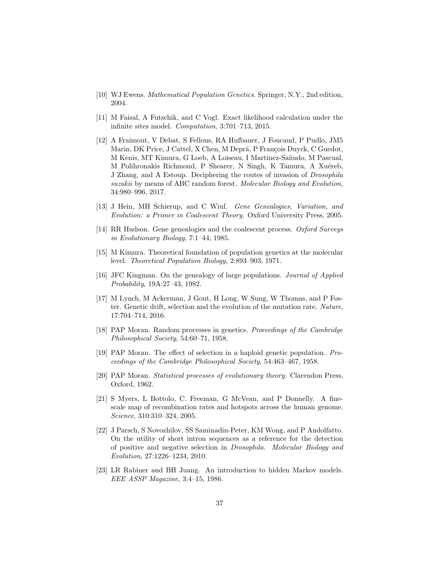- <span id="page-36-13"></span>[10] WJ Ewens. Mathematical Population Genetics. Springer, N.Y., 2nd edition, 2004.
- <span id="page-36-5"></span>[11] M Faisal, A Futschik, and C Vogl. Exact likelihood calculation under the infinite sites model. Computation, 3:701–713, 2015.
- <span id="page-36-3"></span>[12] A Fraimout, V Debat, S Fellous, RA Hufbauer, J Foucaud, P Pudlo, JM5 Marin, DK Price, J Cattel, X Chen, M Deprá, P François Duyck, C Guedot, M Kenis, MT Kimura, G Loeb, A Loiseau, I Martinez-Sañudo, M Pascual, M Polihronakis Richmond, P Shearer, N Singh, K Tamura, A Xuéreb, J Zhang, and A Estoup. Deciphering the routes of invasion of Drosophila suzukii by means of ABC random forest. Molecular Biology and Evolution, 34:980–996, 2017.
- <span id="page-36-1"></span>[13] J Hein, MH Schierup, and C Wiuf. Gene Genealogies, Variation, and Evolution: a Primer in Coalescent Theory. Oxford University Press, 2005.
- <span id="page-36-2"></span>[14] RR Hudson. Gene genealogies and the coalescent process. Oxford Surveys in Evolutionary Biology, 7:1–44, 1985.
- <span id="page-36-4"></span>[15] M Kimura. Theoretical foundation of population genetics at the molecular level. Theoretical Population Biology, 2:893–903, 1971.
- <span id="page-36-0"></span>[16] JFC Kingman. On the genealogy of large populations. Journal of Applied Probability, 19A:27–43, 1982.
- <span id="page-36-8"></span>[17] M Lynch, M Ackerman, J Gout, H Long, W Sung, W Thomas, and P Foster. Genetic drift, selection and the evolution of the mutation rate. Nature, 17:704–714, 2016.
- <span id="page-36-10"></span>[18] PAP Moran. Random processes in genetics. Proceedings of the Cambridge Philosophical Society, 54:60–71, 1958.
- <span id="page-36-11"></span>[19] PAP Moran. The effect of selection in a haploid genetic population. Proceedings of the Cambridge Philosophical Society, 54:463–467, 1958.
- <span id="page-36-12"></span>[20] PAP Moran. Statistical processes of evolutionary theory. Clarendon Press, Oxford, 1962.
- <span id="page-36-7"></span>[21] S Myers, L Bottolo, C. Freeman, G McVean, and P Donnelly. A finescale map of recombination rates and hotspots across the human genome. Science, 310:310–324, 2005.
- <span id="page-36-6"></span>[22] J Parsch, S Novozhilov, SS Saminadin-Peter, KM Wong, and P Andolfatto. On the utility of short intron sequences as a reference for the detection of positive and negative selection in Drosophila. Molecular Biology and Evolution, 27:1226–1234, 2010.
- <span id="page-36-9"></span>[23] LR Rabiner and BH Juang. An introduction to hidden Markov models. EEE ASSP Magazine, 3:4–15, 1986.